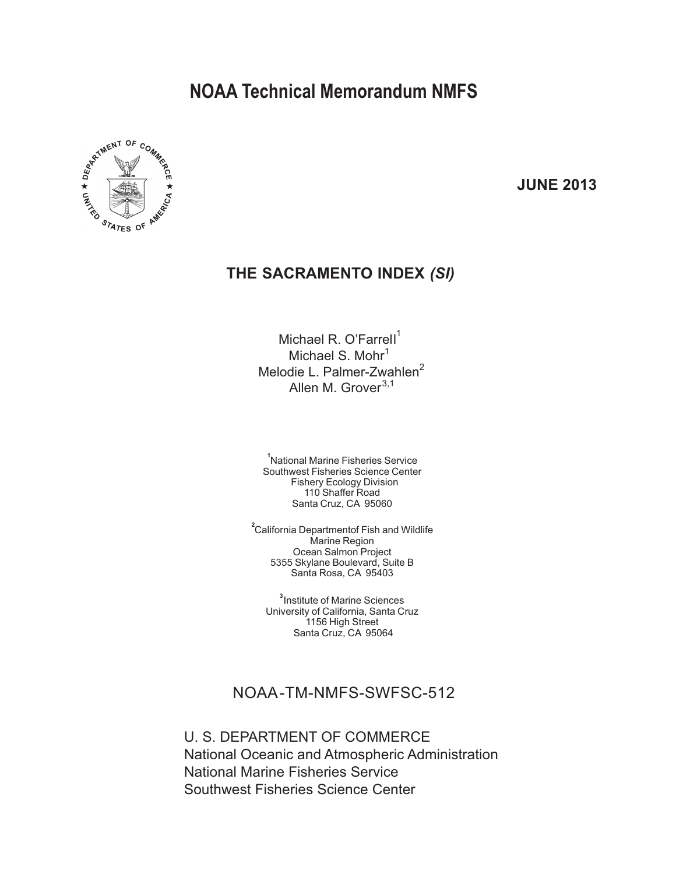# **NOAA Technical Memorandum NMFS**



**JUNE 2013**

### **THE SACRAMENTO INDEX** *(SI)*

Michael R. O'Farrell<sup>1</sup> Michael S. Mohr<sup>1</sup> Melodie L. Palmer-Zwahlen<sup>2</sup> Allen M. Grover $^{3,1}$ 

**1** National Marine Fisheries Service Southwest Fisheries Science Center Fishery Ecology Division 110 Shaffer Road Santa Cruz, CA 95060

**2** California Departmentof Fish and Wildlife Marine Region Ocean Salmon Project 5355 Skylane Boulevard, Suite B Santa Rosa, CA 95403

**3** Institute of Marine Sciences University of California, Santa Cruz 1156 High Street Santa Cruz, CA 95064

### NOAA-TM-NMFS-SWFSC-512

U. S. DEPARTMENT OF COMMERCE National Oceanic and Atmospheric Administration National Marine Fisheries Service Southwest Fisheries Science Center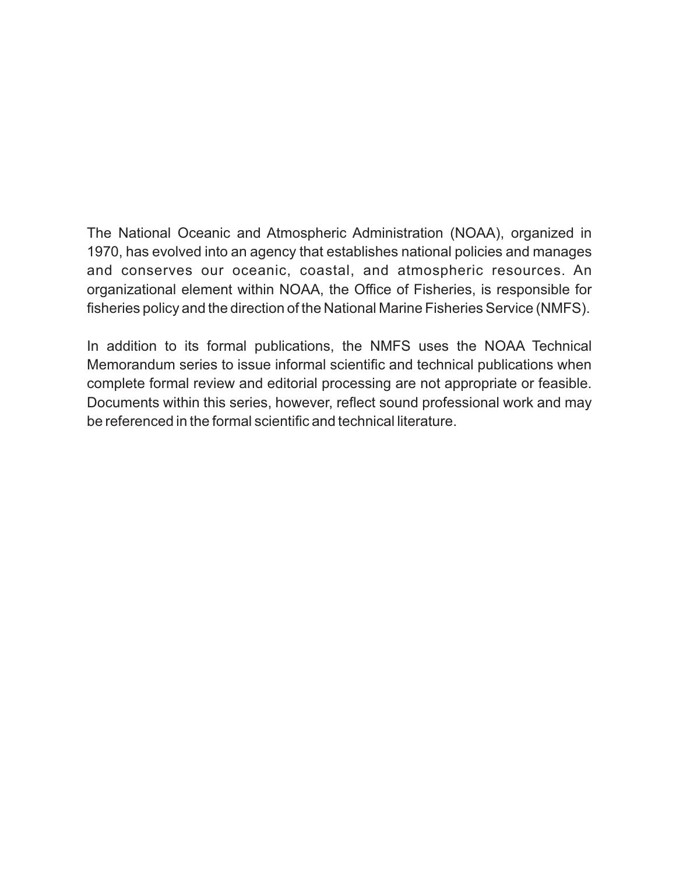The National Oceanic and Atmospheric Administration (NOAA), organized in 1970, has evolved into an agency that establishes national policies and manages and conserves our oceanic, coastal, and atmospheric resources. An organizational element within NOAA, the Office of Fisheries, is responsible for fisheries policy and the direction of the National Marine Fisheries Service (NMFS).

In addition to its formal publications, the NMFS uses the NOAA Technical Memorandum series to issue informal scientific and technical publications when complete formal review and editorial processing are not appropriate or feasible. Documents within this series, however, reflect sound professional work and may be referenced in the formal scientific and technical literature.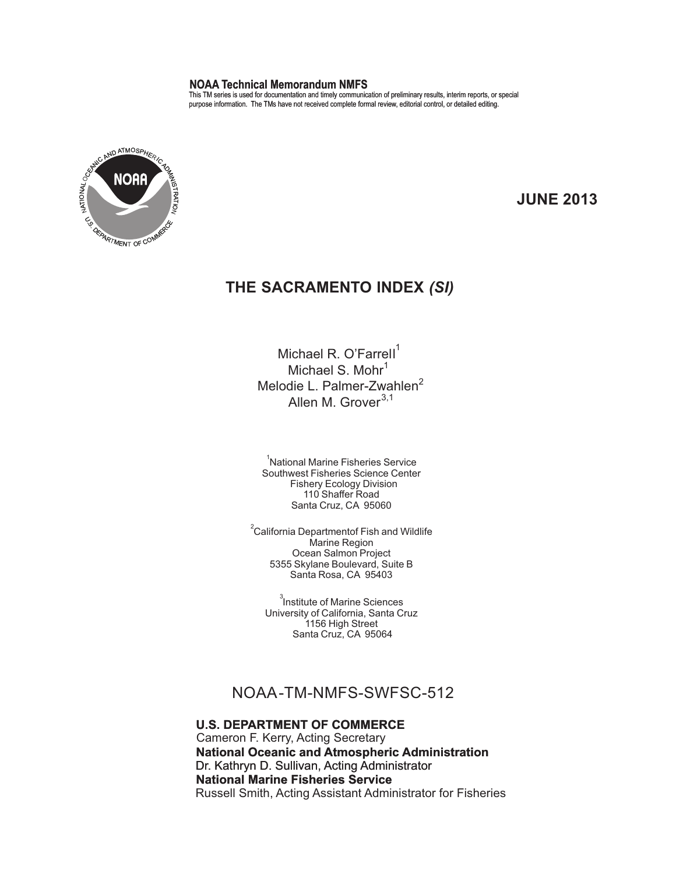#### **NOAA Technical Memorandum NMFS**

This TM series is used for documentation and timely communication of preliminary results, interim reports, or special purpose information. The TMs have not received complete formal review, editorial control, or detailed editing.



**JUNE 2013**

### **THE SACRAMENTO INDEX** *(SI)*

Michael R. O'Farrell<sup>1</sup> Michael S. Mohr $<sup>1</sup>$ </sup> Melodie L. Palmer-Zwahlen<sup>2</sup> Allen M. Grover<sup>3,1</sup>

<sup>1</sup>National Marine Fisheries Service Southwest Fisheries Science Center Fishery Ecology Division 110 Shaffer Road Santa Cruz, CA 95060

 $\mathrm{^{2}C}$ alifornia Departmentof Fish and Wildlife Marine Region Ocean Salmon Project 5355 Skylane Boulevard, Suite B Santa Rosa, CA 95403

<sup>3</sup>Institute of Marine Sciences University of California, Santa Cruz 1156 High Street Santa Cruz, CA 95064

### NOAA-TM-NMFS-SWFSC-512

#### **U.S. DEPARTMENT OF COMMERCE**

**National Oceanic and Atmospheric Administration** Cameron F. Kerry, Acting Secretary Dr. Kathryn D. Sullivan, Acting Administrator **National Marine Fisheries Service** Russell Smith, Acting Assistant Administrator for Fisheries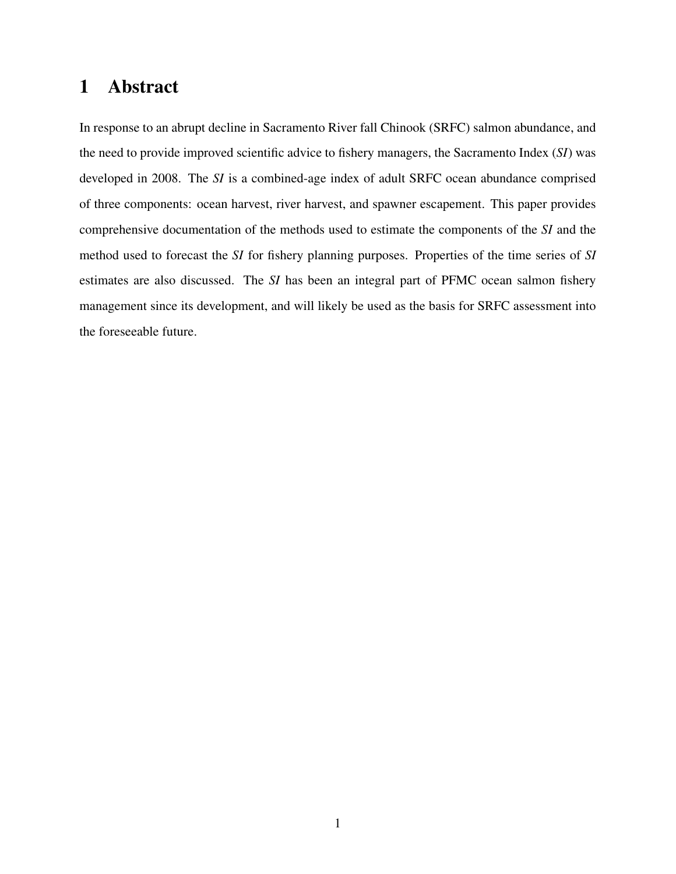## 1 Abstract

In response to an abrupt decline in Sacramento River fall Chinook (SRFC) salmon abundance, and the need to provide improved scientific advice to fishery managers, the Sacramento Index (*SI*) was developed in 2008. The *SI* is a combined-age index of adult SRFC ocean abundance comprised of three components: ocean harvest, river harvest, and spawner escapement. This paper provides comprehensive documentation of the methods used to estimate the components of the *SI* and the method used to forecast the *SI* for fishery planning purposes. Properties of the time series of *SI* estimates are also discussed. The *SI* has been an integral part of PFMC ocean salmon fishery management since its development, and will likely be used as the basis for SRFC assessment into the foreseeable future.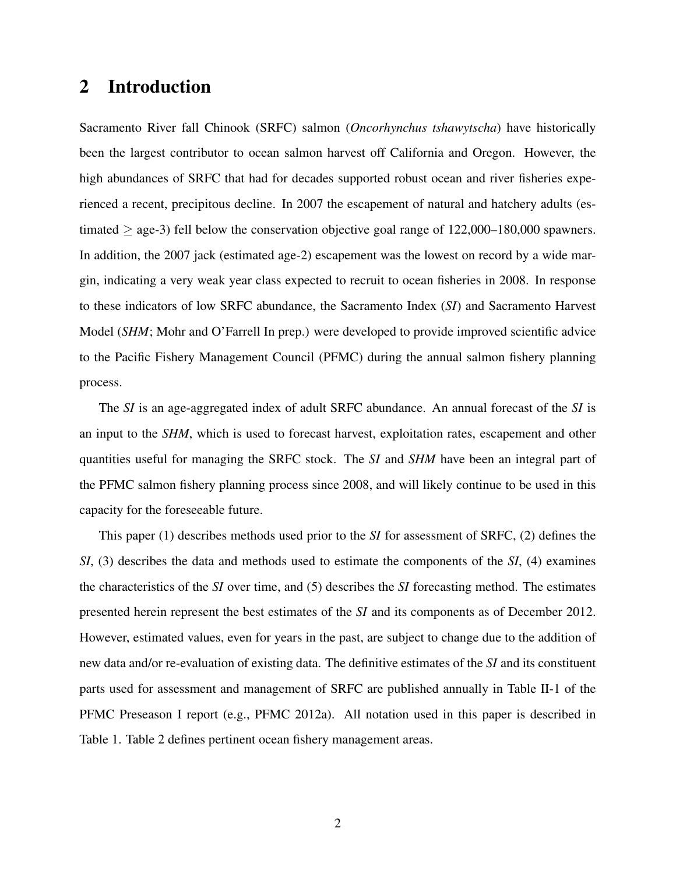## 2 Introduction

Sacramento River fall Chinook (SRFC) salmon (*Oncorhynchus tshawytscha*) have historically been the largest contributor to ocean salmon harvest off California and Oregon. However, the high abundances of SRFC that had for decades supported robust ocean and river fisheries experienced a recent, precipitous decline. In 2007 the escapement of natural and hatchery adults (estimated  $\geq$  age-3) fell below the conservation objective goal range of 122,000–180,000 spawners. In addition, the 2007 jack (estimated age-2) escapement was the lowest on record by a wide margin, indicating a very weak year class expected to recruit to ocean fisheries in 2008. In response to these indicators of low SRFC abundance, the Sacramento Index (*SI*) and Sacramento Harvest Model (*SHM*; Mohr and O'Farrell In prep.) were developed to provide improved scientific advice to the Pacific Fishery Management Council (PFMC) during the annual salmon fishery planning process.

The *SI* is an age-aggregated index of adult SRFC abundance. An annual forecast of the *SI* is an input to the *SHM*, which is used to forecast harvest, exploitation rates, escapement and other quantities useful for managing the SRFC stock. The *SI* and *SHM* have been an integral part of the PFMC salmon fishery planning process since 2008, and will likely continue to be used in this capacity for the foreseeable future.

This paper (1) describes methods used prior to the *SI* for assessment of SRFC, (2) defines the *SI*, (3) describes the data and methods used to estimate the components of the *SI*, (4) examines the characteristics of the *SI* over time, and (5) describes the *SI* forecasting method. The estimates presented herein represent the best estimates of the *SI* and its components as of December 2012. However, estimated values, even for years in the past, are subject to change due to the addition of new data and/or re-evaluation of existing data. The definitive estimates of the *SI* and its constituent parts used for assessment and management of SRFC are published annually in Table II-1 of the PFMC Preseason I report (e.g., PFMC 2012a). All notation used in this paper is described in Table 1. Table 2 defines pertinent ocean fishery management areas.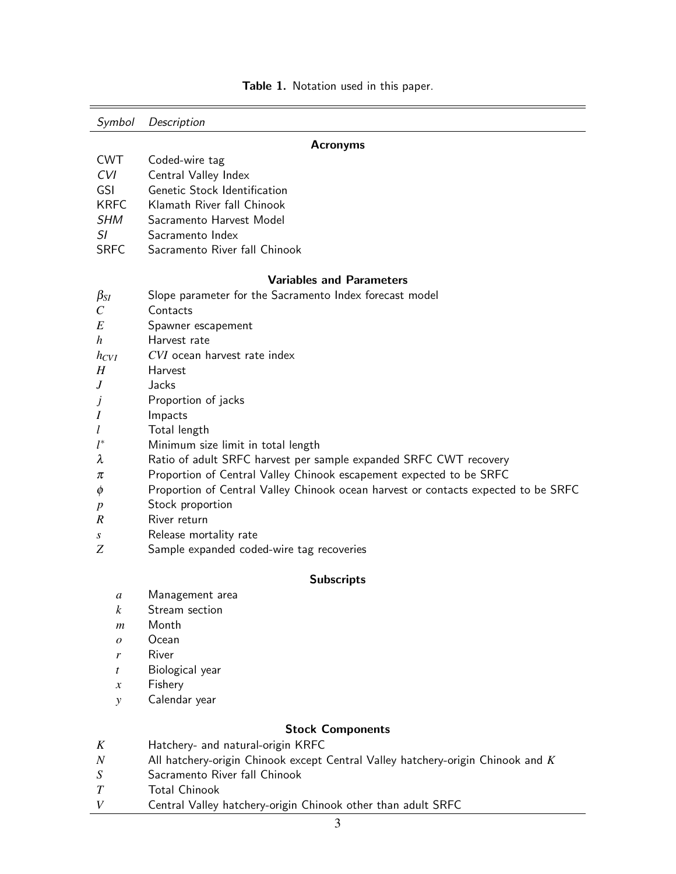| Symbol                                                                            | Description                                                                                                                                                                           |  |  |  |  |  |  |
|-----------------------------------------------------------------------------------|---------------------------------------------------------------------------------------------------------------------------------------------------------------------------------------|--|--|--|--|--|--|
| <b>Acronyms</b>                                                                   |                                                                                                                                                                                       |  |  |  |  |  |  |
| <b>CWT</b><br>CVI<br><b>GSI</b><br><b>KRFC</b><br><b>SHM</b><br>SI<br><b>SRFC</b> | Coded-wire tag<br>Central Valley Index<br>Genetic Stock Identification<br>Klamath River fall Chinook<br>Sacramento Harvest Model<br>Sacramento Index<br>Sacramento River fall Chinook |  |  |  |  |  |  |
|                                                                                   |                                                                                                                                                                                       |  |  |  |  |  |  |
|                                                                                   | <b>Variables and Parameters</b>                                                                                                                                                       |  |  |  |  |  |  |
| $\beta_{SI}$<br>$\,C$                                                             | Slope parameter for the Sacramento Index forecast model<br>Contacts                                                                                                                   |  |  |  |  |  |  |
| E                                                                                 | Spawner escapement                                                                                                                                                                    |  |  |  |  |  |  |
| h                                                                                 | Harvest rate                                                                                                                                                                          |  |  |  |  |  |  |
| $h_{CVI}$                                                                         | CVI ocean harvest rate index                                                                                                                                                          |  |  |  |  |  |  |
| H                                                                                 | Harvest                                                                                                                                                                               |  |  |  |  |  |  |
| J                                                                                 | Jacks                                                                                                                                                                                 |  |  |  |  |  |  |
| J                                                                                 | Proportion of jacks                                                                                                                                                                   |  |  |  |  |  |  |
| Ι                                                                                 | Impacts                                                                                                                                                                               |  |  |  |  |  |  |
| l                                                                                 | Total length                                                                                                                                                                          |  |  |  |  |  |  |
| $l^*$                                                                             | Minimum size limit in total length                                                                                                                                                    |  |  |  |  |  |  |
| λ                                                                                 | Ratio of adult SRFC harvest per sample expanded SRFC CWT recovery                                                                                                                     |  |  |  |  |  |  |
| π                                                                                 | Proportion of Central Valley Chinook escapement expected to be SRFC                                                                                                                   |  |  |  |  |  |  |
| φ                                                                                 | Proportion of Central Valley Chinook ocean harvest or contacts expected to be SRFC                                                                                                    |  |  |  |  |  |  |
| $\boldsymbol{p}$                                                                  | Stock proportion                                                                                                                                                                      |  |  |  |  |  |  |
| R                                                                                 | River return                                                                                                                                                                          |  |  |  |  |  |  |
| S                                                                                 | Release mortality rate                                                                                                                                                                |  |  |  |  |  |  |
| Ζ                                                                                 | Sample expanded coded-wire tag recoveries                                                                                                                                             |  |  |  |  |  |  |
| <b>Subscripts</b>                                                                 |                                                                                                                                                                                       |  |  |  |  |  |  |
| a                                                                                 | Management area                                                                                                                                                                       |  |  |  |  |  |  |
| $\boldsymbol{k}$                                                                  | Stream section                                                                                                                                                                        |  |  |  |  |  |  |
| $\boldsymbol{m}$                                                                  | Month                                                                                                                                                                                 |  |  |  |  |  |  |
| $\overline{o}$                                                                    | Ocean                                                                                                                                                                                 |  |  |  |  |  |  |
| r                                                                                 | River                                                                                                                                                                                 |  |  |  |  |  |  |
| t                                                                                 | Biological year                                                                                                                                                                       |  |  |  |  |  |  |
| $\boldsymbol{x}$                                                                  | Fishery                                                                                                                                                                               |  |  |  |  |  |  |
| $\mathcal{Y}$                                                                     | Calendar year                                                                                                                                                                         |  |  |  |  |  |  |
|                                                                                   | <b>Stock Components</b>                                                                                                                                                               |  |  |  |  |  |  |

Table 1. Notation used in this paper.

- *K* Hatchery- and natural-origin KRFC *N* All hatchery-origin Chinook except Central Valley hatchery-origin Chinook and *K*
- *S* Sacramento River fall Chinook
- 
- *T* Total Chinook<br>*V* Central Valley *V* Central Valley hatchery-origin Chinook other than adult SRFC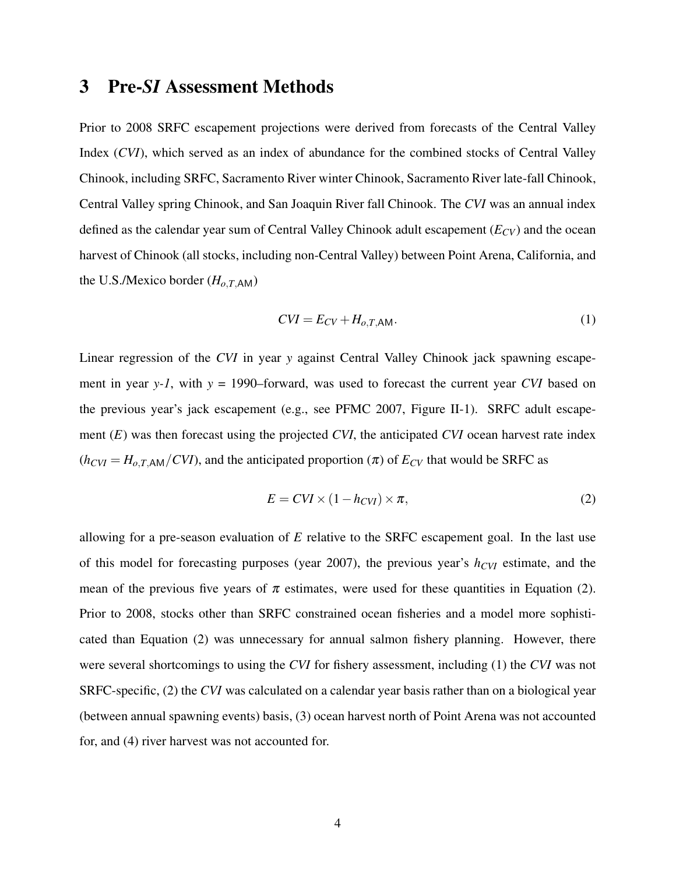### 3 Pre-*SI* Assessment Methods

Prior to 2008 SRFC escapement projections were derived from forecasts of the Central Valley Index (*CVI*), which served as an index of abundance for the combined stocks of Central Valley Chinook, including SRFC, Sacramento River winter Chinook, Sacramento River late-fall Chinook, Central Valley spring Chinook, and San Joaquin River fall Chinook. The *CVI* was an annual index defined as the calendar year sum of Central Valley Chinook adult escapement (*ECV*) and the ocean harvest of Chinook (all stocks, including non-Central Valley) between Point Arena, California, and the U.S./Mexico border  $(H_{o,T,AM})$ 

$$
CVI = E_{CV} + H_{o,T,\text{AM}}.\tag{1}
$$

Linear regression of the *CVI* in year *y* against Central Valley Chinook jack spawning escapement in year *y-1*, with  $y = 1990$ –forward, was used to forecast the current year *CVI* based on the previous year's jack escapement (e.g., see PFMC 2007, Figure II-1). SRFC adult escapement (*E*) was then forecast using the projected *CVI*, the anticipated *CVI* ocean harvest rate index  $(h_{\text{CVI}} = H_{o,\text{T,AM}}/CVI)$ , and the anticipated proportion  $(\pi)$  of  $E_{CV}$  that would be SRFC as

$$
E = CVI \times (1 - h_{CVI}) \times \pi,
$$
\n(2)

allowing for a pre-season evaluation of *E* relative to the SRFC escapement goal. In the last use of this model for forecasting purposes (year 2007), the previous year's *hCVI* estimate, and the mean of the previous five years of  $\pi$  estimates, were used for these quantities in Equation (2). Prior to 2008, stocks other than SRFC constrained ocean fisheries and a model more sophisticated than Equation (2) was unnecessary for annual salmon fishery planning. However, there were several shortcomings to using the *CVI* for fishery assessment, including (1) the *CVI* was not SRFC-specific, (2) the *CVI* was calculated on a calendar year basis rather than on a biological year (between annual spawning events) basis, (3) ocean harvest north of Point Arena was not accounted for, and (4) river harvest was not accounted for.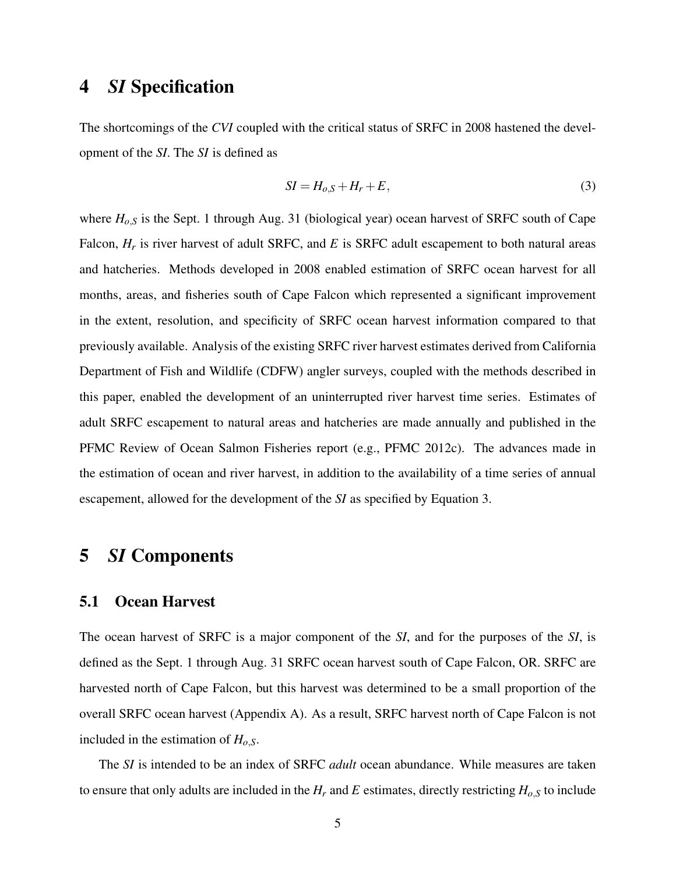## 4 *SI* Specification

The shortcomings of the *CVI* coupled with the critical status of SRFC in 2008 hastened the development of the *SI*. The *SI* is defined as

$$
SI = H_{o,S} + H_r + E,\tag{3}
$$

where  $H_{o,S}$  is the Sept. 1 through Aug. 31 (biological year) ocean harvest of SRFC south of Cape Falcon,  $H_r$  is river harvest of adult SRFC, and *E* is SRFC adult escapement to both natural areas and hatcheries. Methods developed in 2008 enabled estimation of SRFC ocean harvest for all months, areas, and fisheries south of Cape Falcon which represented a significant improvement in the extent, resolution, and specificity of SRFC ocean harvest information compared to that previously available. Analysis of the existing SRFC river harvest estimates derived from California Department of Fish and Wildlife (CDFW) angler surveys, coupled with the methods described in this paper, enabled the development of an uninterrupted river harvest time series. Estimates of adult SRFC escapement to natural areas and hatcheries are made annually and published in the PFMC Review of Ocean Salmon Fisheries report (e.g., PFMC 2012c). The advances made in the estimation of ocean and river harvest, in addition to the availability of a time series of annual escapement, allowed for the development of the *SI* as specified by Equation 3.

### 5 *SI* Components

### 5.1 Ocean Harvest

The ocean harvest of SRFC is a major component of the *SI*, and for the purposes of the *SI*, is defined as the Sept. 1 through Aug. 31 SRFC ocean harvest south of Cape Falcon, OR. SRFC are harvested north of Cape Falcon, but this harvest was determined to be a small proportion of the overall SRFC ocean harvest (Appendix A). As a result, SRFC harvest north of Cape Falcon is not included in the estimation of *Ho*,*S*.

The *SI* is intended to be an index of SRFC *adult* ocean abundance. While measures are taken to ensure that only adults are included in the  $H_r$  and  $E$  estimates, directly restricting  $H_{o,S}$  to include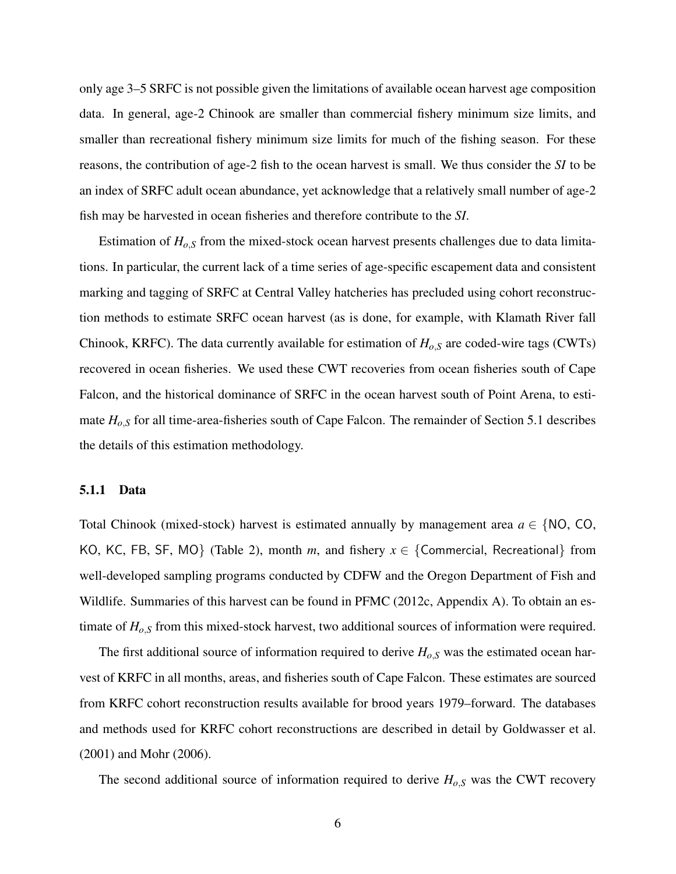only age 3–5 SRFC is not possible given the limitations of available ocean harvest age composition data. In general, age-2 Chinook are smaller than commercial fishery minimum size limits, and smaller than recreational fishery minimum size limits for much of the fishing season. For these reasons, the contribution of age-2 fish to the ocean harvest is small. We thus consider the *SI* to be an index of SRFC adult ocean abundance, yet acknowledge that a relatively small number of age-2 fish may be harvested in ocean fisheries and therefore contribute to the *SI*.

Estimation of  $H_{o,S}$  from the mixed-stock ocean harvest presents challenges due to data limitations. In particular, the current lack of a time series of age-specific escapement data and consistent marking and tagging of SRFC at Central Valley hatcheries has precluded using cohort reconstruction methods to estimate SRFC ocean harvest (as is done, for example, with Klamath River fall Chinook, KRFC). The data currently available for estimation of *Ho*,*<sup>S</sup>* are coded-wire tags (CWTs) recovered in ocean fisheries. We used these CWT recoveries from ocean fisheries south of Cape Falcon, and the historical dominance of SRFC in the ocean harvest south of Point Arena, to estimate *Ho*,*<sup>S</sup>* for all time-area-fisheries south of Cape Falcon. The remainder of Section 5.1 describes the details of this estimation methodology.

#### 5.1.1 Data

Total Chinook (mixed-stock) harvest is estimated annually by management area  $a \in \{NO, CO,$ KO, KC, FB, SF, MO} (Table 2), month *m*, and fishery  $x \in \{ \text{Commercial, Recreational} \}$  from well-developed sampling programs conducted by CDFW and the Oregon Department of Fish and Wildlife. Summaries of this harvest can be found in PFMC (2012c, Appendix A). To obtain an estimate of *Ho*,*<sup>S</sup>* from this mixed-stock harvest, two additional sources of information were required.

The first additional source of information required to derive *Ho*,*<sup>S</sup>* was the estimated ocean harvest of KRFC in all months, areas, and fisheries south of Cape Falcon. These estimates are sourced from KRFC cohort reconstruction results available for brood years 1979–forward. The databases and methods used for KRFC cohort reconstructions are described in detail by Goldwasser et al. (2001) and Mohr (2006).

The second additional source of information required to derive  $H_{o,S}$  was the CWT recovery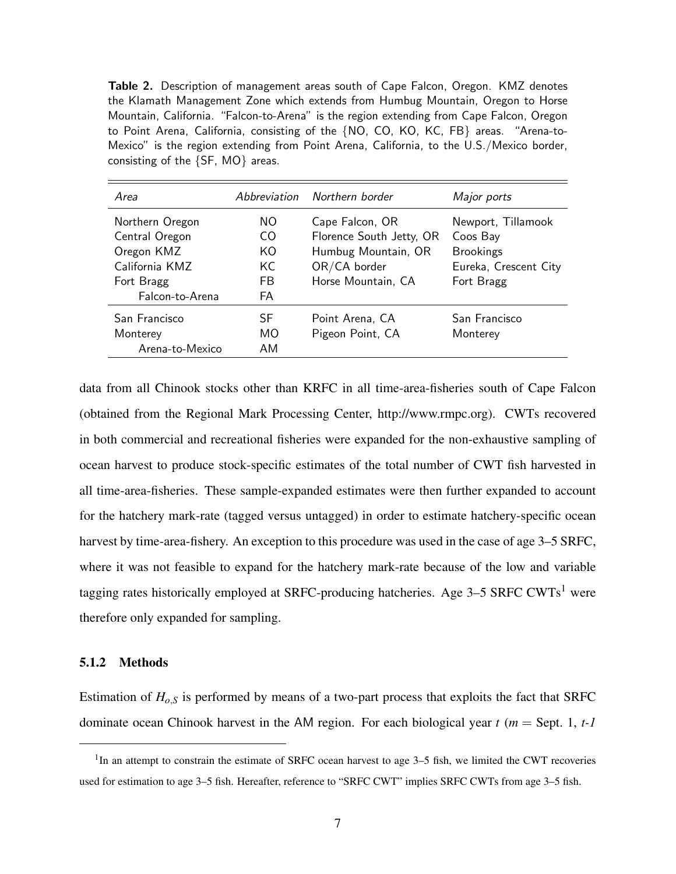Table 2. Description of management areas south of Cape Falcon, Oregon. KMZ denotes the Klamath Management Zone which extends from Humbug Mountain, Oregon to Horse Mountain, California. "Falcon-to-Arena" is the region extending from Cape Falcon, Oregon to Point Arena, California, consisting of the {NO, CO, KO, KC, FB} areas. "Arena-to-Mexico" is the region extending from Point Arena, California, to the U.S./Mexico border, consisting of the {SF, MO} areas.

| Area            |           | Abbreviation Northern border | Major ports           |
|-----------------|-----------|------------------------------|-----------------------|
| Northern Oregon | NO.       | Cape Falcon, OR              | Newport, Tillamook    |
| Central Oregon  | CO        | Florence South Jetty, OR     | Coos Bay              |
| Oregon KMZ      | KO        | Humbug Mountain, OR          | <b>Brookings</b>      |
| California KMZ  | KC        | OR/CA border                 | Eureka, Crescent City |
| Fort Bragg      | FB        | Horse Mountain, CA           | Fort Bragg            |
| Falcon-to-Arena | FA        |                              |                       |
| San Francisco   | SF        | Point Arena, CA              | San Francisco         |
| Monterey        | <b>MO</b> | Pigeon Point, CA             | Monterey              |
| Arena-to-Mexico | AM        |                              |                       |

data from all Chinook stocks other than KRFC in all time-area-fisheries south of Cape Falcon (obtained from the Regional Mark Processing Center, http://www.rmpc.org). CWTs recovered in both commercial and recreational fisheries were expanded for the non-exhaustive sampling of ocean harvest to produce stock-specific estimates of the total number of CWT fish harvested in all time-area-fisheries. These sample-expanded estimates were then further expanded to account for the hatchery mark-rate (tagged versus untagged) in order to estimate hatchery-specific ocean harvest by time-area-fishery. An exception to this procedure was used in the case of age 3–5 SRFC, where it was not feasible to expand for the hatchery mark-rate because of the low and variable tagging rates historically employed at SRFC-producing hatcheries. Age 3-5 SRFC CWTs<sup>1</sup> were therefore only expanded for sampling.

#### 5.1.2 Methods

Estimation of  $H_{o,S}$  is performed by means of a two-part process that exploits the fact that SRFC dominate ocean Chinook harvest in the AM region. For each biological year *t* (*m* = Sept. 1, *t-1*

<sup>&</sup>lt;sup>1</sup>In an attempt to constrain the estimate of SRFC ocean harvest to age 3–5 fish, we limited the CWT recoveries used for estimation to age 3–5 fish. Hereafter, reference to "SRFC CWT" implies SRFC CWTs from age 3–5 fish.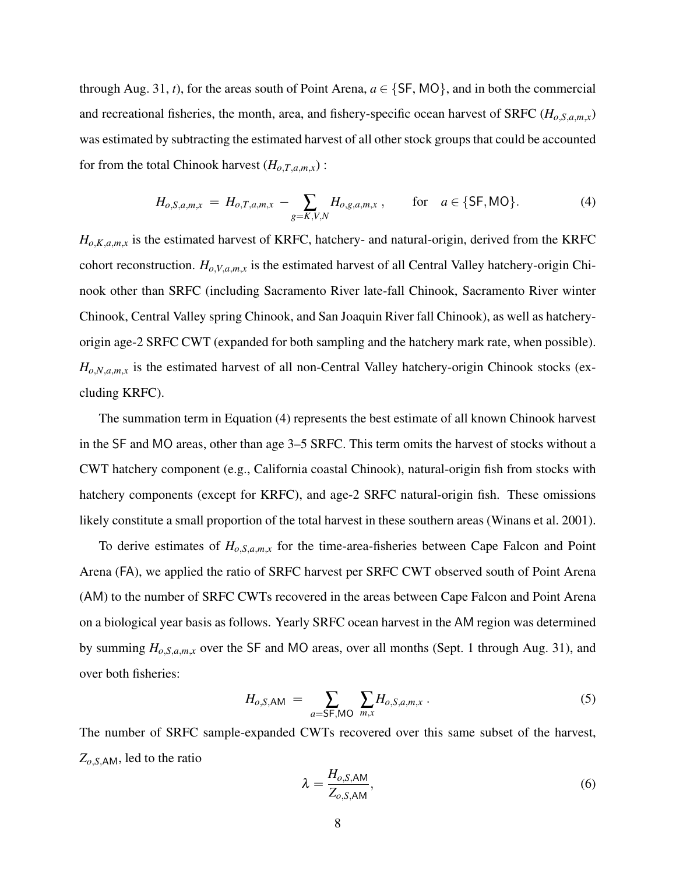through Aug. 31, *t*), for the areas south of Point Arena,  $a \in \{SF, MO\}$ , and in both the commercial and recreational fisheries, the month, area, and fishery-specific ocean harvest of SRFC ( $H_{o,S,a,m,x}$ ) was estimated by subtracting the estimated harvest of all other stock groups that could be accounted for from the total Chinook harvest  $(H_{o,T,a,m,x})$ :

$$
H_{o,S,a,m,x} = H_{o,T,a,m,x} - \sum_{g=K,V,N} H_{o,g,a,m,x} , \quad \text{for} \quad a \in \{SF, MO\}.
$$
 (4)

 $H_{o,K,a,m,x}$  is the estimated harvest of KRFC, hatchery- and natural-origin, derived from the KRFC cohort reconstruction. *Ho*,*V*,*a*,*m*,*<sup>x</sup>* is the estimated harvest of all Central Valley hatchery-origin Chinook other than SRFC (including Sacramento River late-fall Chinook, Sacramento River winter Chinook, Central Valley spring Chinook, and San Joaquin River fall Chinook), as well as hatcheryorigin age-2 SRFC CWT (expanded for both sampling and the hatchery mark rate, when possible).  $H_{o,N,a,m,x}$  is the estimated harvest of all non-Central Valley hatchery-origin Chinook stocks (excluding KRFC).

The summation term in Equation (4) represents the best estimate of all known Chinook harvest in the SF and MO areas, other than age 3–5 SRFC. This term omits the harvest of stocks without a CWT hatchery component (e.g., California coastal Chinook), natural-origin fish from stocks with hatchery components (except for KRFC), and age-2 SRFC natural-origin fish. These omissions likely constitute a small proportion of the total harvest in these southern areas (Winans et al. 2001).

To derive estimates of *Ho*,*S*,*a*,*m*,*<sup>x</sup>* for the time-area-fisheries between Cape Falcon and Point Arena (FA), we applied the ratio of SRFC harvest per SRFC CWT observed south of Point Arena (AM) to the number of SRFC CWTs recovered in the areas between Cape Falcon and Point Arena on a biological year basis as follows. Yearly SRFC ocean harvest in the AM region was determined by summing  $H_{o,S,a,m,x}$  over the SF and MO areas, over all months (Sept. 1 through Aug. 31), and over both fisheries:

$$
H_{o,S,\text{AM}} = \sum_{a=\text{SF},\text{MO}} \sum_{m,x} H_{o,S,a,m,x} \,. \tag{5}
$$

The number of SRFC sample-expanded CWTs recovered over this same subset of the harvest, *Zo*,*S*,AM, led to the ratio

$$
\lambda = \frac{H_{o,S,\text{AM}}}{Z_{o,S,\text{AM}}},\tag{6}
$$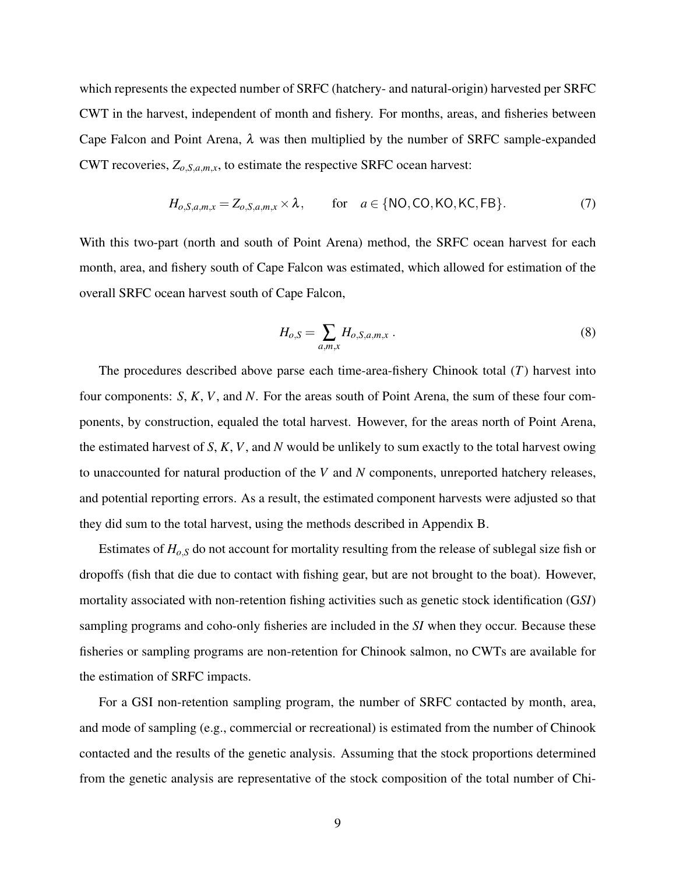which represents the expected number of SRFC (hatchery- and natural-origin) harvested per SRFC CWT in the harvest, independent of month and fishery. For months, areas, and fisheries between Cape Falcon and Point Arena,  $\lambda$  was then multiplied by the number of SRFC sample-expanded CWT recoveries,  $Z_{o,S,a,m,x}$ , to estimate the respective SRFC ocean harvest:

$$
H_{o,S,a,m,x} = Z_{o,S,a,m,x} \times \lambda, \quad \text{for} \quad a \in \{NO, CO, KO, KC, FB\}. \tag{7}
$$

With this two-part (north and south of Point Arena) method, the SRFC ocean harvest for each month, area, and fishery south of Cape Falcon was estimated, which allowed for estimation of the overall SRFC ocean harvest south of Cape Falcon,

$$
H_{o,S} = \sum_{a,m,x} H_{o,S,a,m,x} \tag{8}
$$

The procedures described above parse each time-area-fishery Chinook total (*T*) harvest into four components: *S*, *K*, *V*, and *N*. For the areas south of Point Arena, the sum of these four components, by construction, equaled the total harvest. However, for the areas north of Point Arena, the estimated harvest of *S*, *K*, *V*, and *N* would be unlikely to sum exactly to the total harvest owing to unaccounted for natural production of the *V* and *N* components, unreported hatchery releases, and potential reporting errors. As a result, the estimated component harvests were adjusted so that they did sum to the total harvest, using the methods described in Appendix B.

Estimates of *Ho*,*<sup>S</sup>* do not account for mortality resulting from the release of sublegal size fish or dropoffs (fish that die due to contact with fishing gear, but are not brought to the boat). However, mortality associated with non-retention fishing activities such as genetic stock identification (G*SI*) sampling programs and coho-only fisheries are included in the *SI* when they occur. Because these fisheries or sampling programs are non-retention for Chinook salmon, no CWTs are available for the estimation of SRFC impacts.

For a GSI non-retention sampling program, the number of SRFC contacted by month, area, and mode of sampling (e.g., commercial or recreational) is estimated from the number of Chinook contacted and the results of the genetic analysis. Assuming that the stock proportions determined from the genetic analysis are representative of the stock composition of the total number of Chi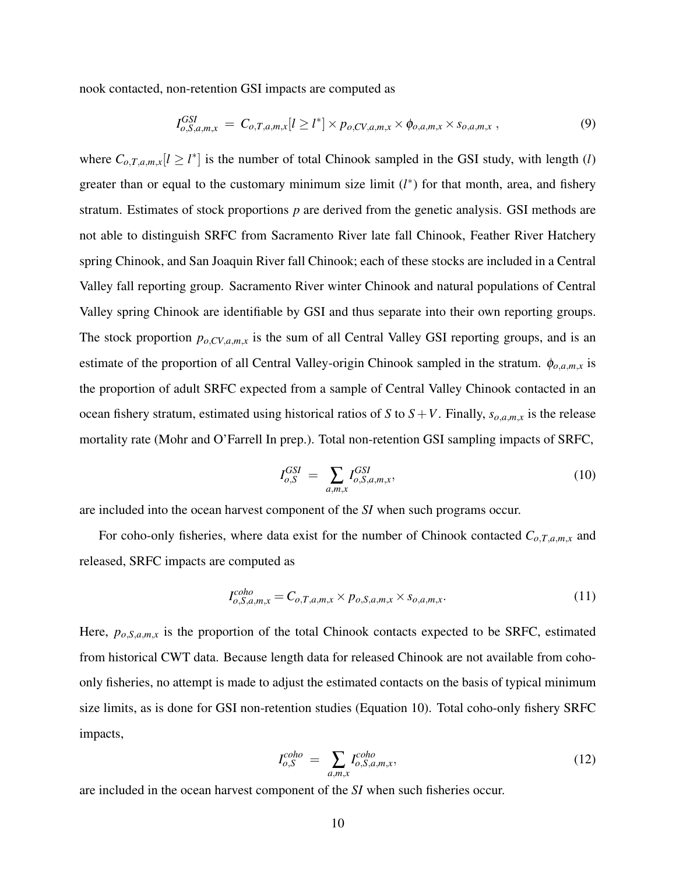nook contacted, non-retention GSI impacts are computed as

$$
I_{o,S,a,m,x}^{GSI} = C_{o,T,a,m,x}[l \ge l^*] \times p_{o,CV,a,m,x} \times \phi_{o,a,m,x} \times s_{o,a,m,x}, \qquad (9)
$$

where  $C_{o,T,a,m,x}[l \geq l^*]$  is the number of total Chinook sampled in the GSI study, with length (*l*) greater than or equal to the customary minimum size limit  $(l^*)$  for that month, area, and fishery stratum. Estimates of stock proportions *p* are derived from the genetic analysis. GSI methods are not able to distinguish SRFC from Sacramento River late fall Chinook, Feather River Hatchery spring Chinook, and San Joaquin River fall Chinook; each of these stocks are included in a Central Valley fall reporting group. Sacramento River winter Chinook and natural populations of Central Valley spring Chinook are identifiable by GSI and thus separate into their own reporting groups. The stock proportion  $p_{o,CV,a,m,x}$  is the sum of all Central Valley GSI reporting groups, and is an estimate of the proportion of all Central Valley-origin Chinook sampled in the stratum.  $\phi_{o,a,m,x}$  is the proportion of adult SRFC expected from a sample of Central Valley Chinook contacted in an ocean fishery stratum, estimated using historical ratios of *S* to  $S + V$ . Finally,  $s_{o,a,m,x}$  is the release mortality rate (Mohr and O'Farrell In prep.). Total non-retention GSI sampling impacts of SRFC,

$$
I_{o,S}^{GSI} = \sum_{a,m,x} I_{o,S,a,m,x}^{GSI},\tag{10}
$$

are included into the ocean harvest component of the *SI* when such programs occur.

For coho-only fisheries, where data exist for the number of Chinook contacted  $C_{o,T,a,m,x}$  and released, SRFC impacts are computed as

$$
I_{o,S,a,m,x}^{coho} = C_{o,T,a,m,x} \times p_{o,S,a,m,x} \times s_{o,a,m,x}.
$$
\n
$$
(11)
$$

Here,  $p_{o,S,a,m,x}$  is the proportion of the total Chinook contacts expected to be SRFC, estimated from historical CWT data. Because length data for released Chinook are not available from cohoonly fisheries, no attempt is made to adjust the estimated contacts on the basis of typical minimum size limits, as is done for GSI non-retention studies (Equation 10). Total coho-only fishery SRFC impacts,

$$
I_{o,S}^{colo} = \sum_{a,m,x} I_{o,S,a,m,x}^{colo}, \qquad (12)
$$

are included in the ocean harvest component of the *SI* when such fisheries occur.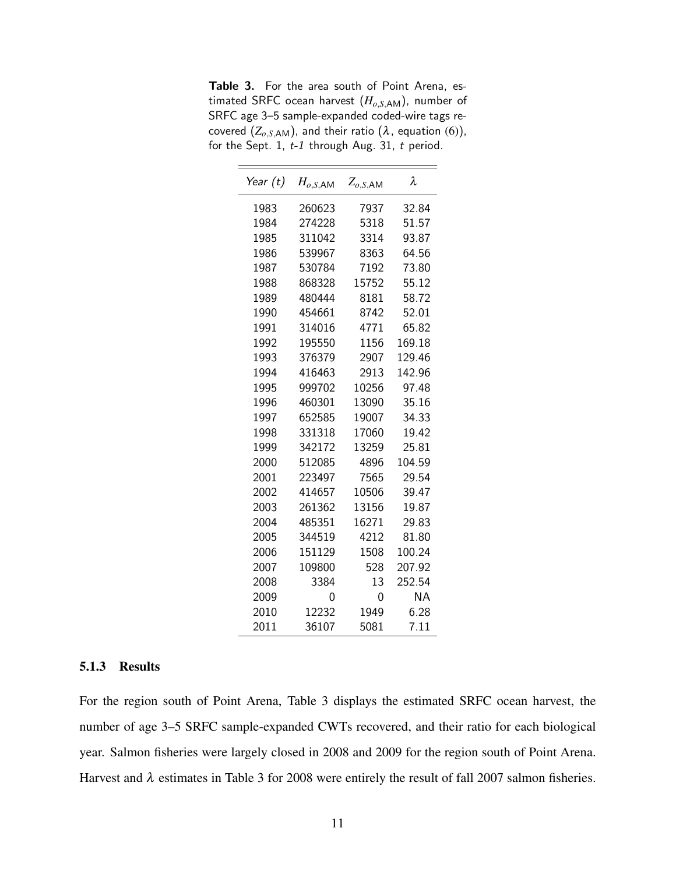Table 3. For the area south of Point Arena, estimated SRFC ocean harvest (*Ho*,*S*,AM), number of SRFC age 3–5 sample-expanded coded-wire tags recovered  $(Z_{o,S,\text{AM}})$ , and their ratio  $(\lambda, \text{ equation } (6)),$ for the Sept. 1, t-1 through Aug. 31, t period.

| Year (t) | $H_{o,S,\mathsf{AM}}$ | $Z_{o,S,\mathsf{AM}}$ | λ         |
|----------|-----------------------|-----------------------|-----------|
| 1983     | 260623                | 7937                  | 32.84     |
| 1984     | 274228                | 5318                  | 51.57     |
| 1985     | 311042                | 3314                  | 93.87     |
| 1986     | 539967                | 8363                  | 64.56     |
| 1987     | 530784                | 7192                  | 73.80     |
| 1988     | 868328                | 15752                 | 55.12     |
| 1989     | 480444                | 8181                  | 58.72     |
| 1990     | 454661                | 8742                  | 52.01     |
| 1991     | 314016                | 4771                  | 65.82     |
| 1992     | 195550                | 1156                  | 169.18    |
| 1993     | 376379                | 2907                  | 129.46    |
| 1994     | 416463                | 2913                  | 142.96    |
| 1995     | 999702                | 10256                 | 97.48     |
| 1996     | 460301                | 13090                 | 35.16     |
| 1997     | 652585                | 19007                 | 34.33     |
| 1998     | 331318                | 17060                 | 19.42     |
| 1999     | 342172                | 13259                 | 25.81     |
| 2000     | 512085                | 4896                  | 104.59    |
| 2001     | 223497                | 7565                  | 29.54     |
| 2002     | 414657                | 10506                 | 39.47     |
| 2003     | 261362                | 13156                 | 19.87     |
| 2004     | 485351                | 16271                 | 29.83     |
| 2005     | 344519                | 4212                  | 81.80     |
| 2006     | 151129                | 1508                  | 100.24    |
| 2007     | 109800                | 528                   | 207.92    |
| 2008     | 3384                  | 13                    | 252.54    |
| 2009     | 0                     | 0                     | <b>NA</b> |
| 2010     | 12232                 | 1949                  | 6.28      |
| 2011     | 36107                 | 5081                  | 7.11      |

#### 5.1.3 Results

For the region south of Point Arena, Table 3 displays the estimated SRFC ocean harvest, the number of age 3–5 SRFC sample-expanded CWTs recovered, and their ratio for each biological year. Salmon fisheries were largely closed in 2008 and 2009 for the region south of Point Arena. Harvest and  $\lambda$  estimates in Table 3 for 2008 were entirely the result of fall 2007 salmon fisheries.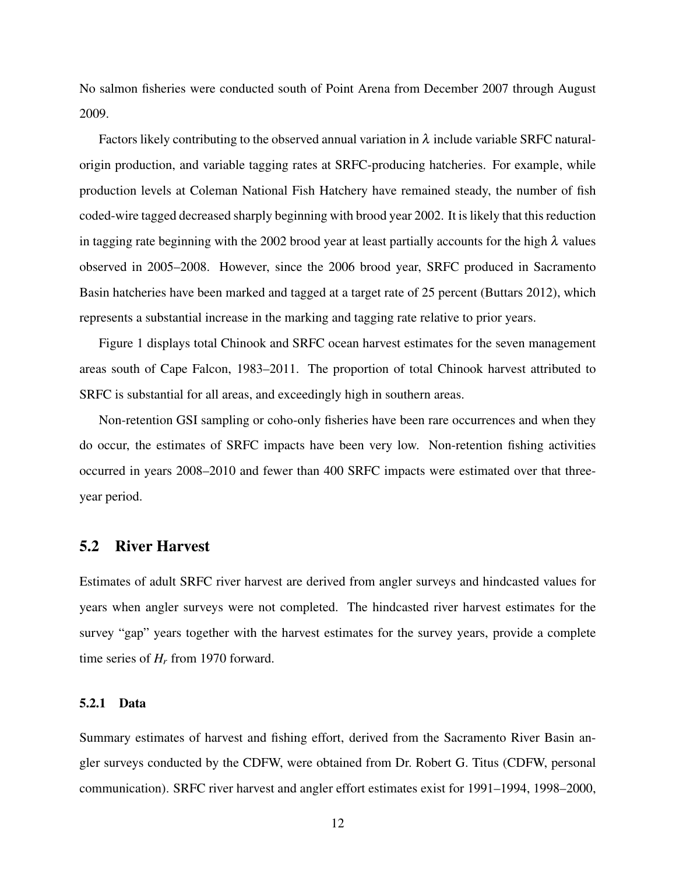No salmon fisheries were conducted south of Point Arena from December 2007 through August 2009.

Factors likely contributing to the observed annual variation in  $\lambda$  include variable SRFC naturalorigin production, and variable tagging rates at SRFC-producing hatcheries. For example, while production levels at Coleman National Fish Hatchery have remained steady, the number of fish coded-wire tagged decreased sharply beginning with brood year 2002. It is likely that this reduction in tagging rate beginning with the 2002 brood year at least partially accounts for the high  $\lambda$  values observed in 2005–2008. However, since the 2006 brood year, SRFC produced in Sacramento Basin hatcheries have been marked and tagged at a target rate of 25 percent (Buttars 2012), which represents a substantial increase in the marking and tagging rate relative to prior years.

Figure 1 displays total Chinook and SRFC ocean harvest estimates for the seven management areas south of Cape Falcon, 1983–2011. The proportion of total Chinook harvest attributed to SRFC is substantial for all areas, and exceedingly high in southern areas.

Non-retention GSI sampling or coho-only fisheries have been rare occurrences and when they do occur, the estimates of SRFC impacts have been very low. Non-retention fishing activities occurred in years 2008–2010 and fewer than 400 SRFC impacts were estimated over that threeyear period.

### 5.2 River Harvest

Estimates of adult SRFC river harvest are derived from angler surveys and hindcasted values for years when angler surveys were not completed. The hindcasted river harvest estimates for the survey "gap" years together with the harvest estimates for the survey years, provide a complete time series of *H<sup>r</sup>* from 1970 forward.

#### 5.2.1 Data

Summary estimates of harvest and fishing effort, derived from the Sacramento River Basin angler surveys conducted by the CDFW, were obtained from Dr. Robert G. Titus (CDFW, personal communication). SRFC river harvest and angler effort estimates exist for 1991–1994, 1998–2000,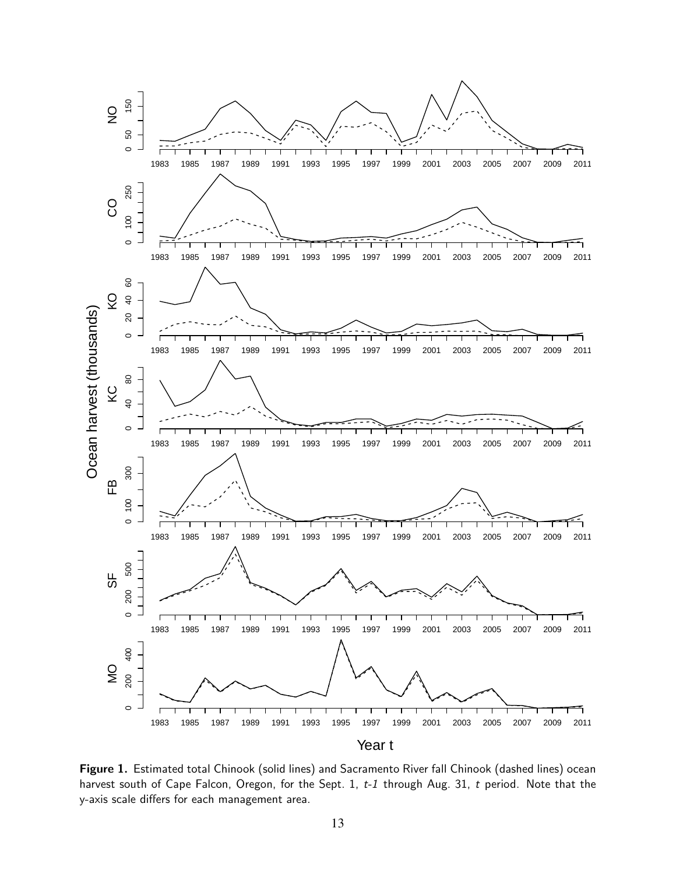

Figure 1. Estimated total Chinook (solid lines) and Sacramento River fall Chinook (dashed lines) ocean harvest south of Cape Falcon, Oregon, for the Sept. 1, t-1 through Aug. 31, t period. Note that the y-axis scale differs for each management area.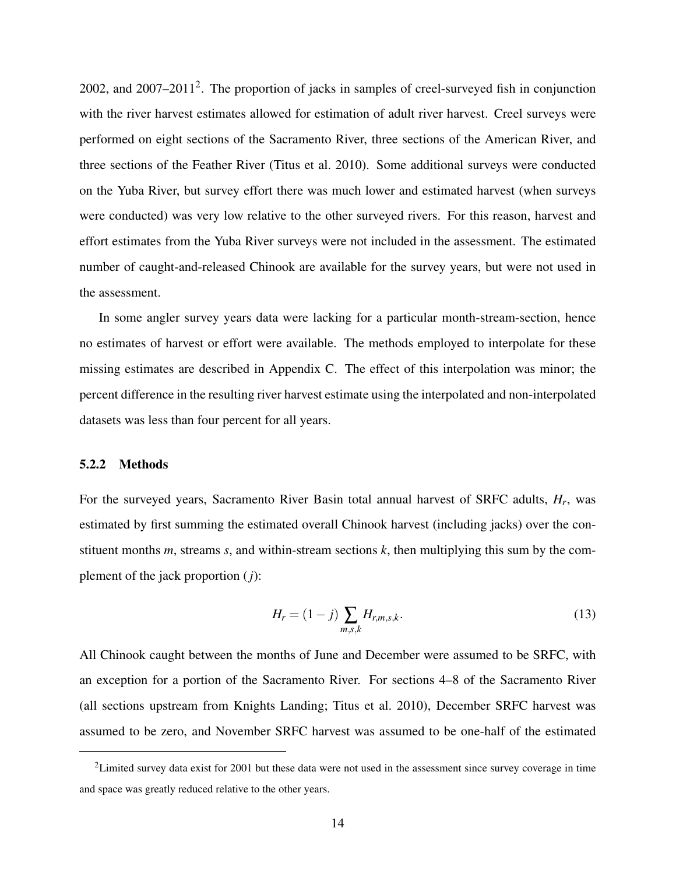2002, and 2007–2011<sup>2</sup>. The proportion of jacks in samples of creel-surveyed fish in conjunction with the river harvest estimates allowed for estimation of adult river harvest. Creel surveys were performed on eight sections of the Sacramento River, three sections of the American River, and three sections of the Feather River (Titus et al. 2010). Some additional surveys were conducted on the Yuba River, but survey effort there was much lower and estimated harvest (when surveys were conducted) was very low relative to the other surveyed rivers. For this reason, harvest and effort estimates from the Yuba River surveys were not included in the assessment. The estimated number of caught-and-released Chinook are available for the survey years, but were not used in the assessment.

In some angler survey years data were lacking for a particular month-stream-section, hence no estimates of harvest or effort were available. The methods employed to interpolate for these missing estimates are described in Appendix C. The effect of this interpolation was minor; the percent difference in the resulting river harvest estimate using the interpolated and non-interpolated datasets was less than four percent for all years.

#### 5.2.2 Methods

For the surveyed years, Sacramento River Basin total annual harvest of SRFC adults, *H<sup>r</sup>* , was estimated by first summing the estimated overall Chinook harvest (including jacks) over the constituent months *m*, streams *s*, and within-stream sections *k*, then multiplying this sum by the complement of the jack proportion (*j*):

$$
H_r = (1 - j) \sum_{m,s,k} H_{r,m,s,k}.
$$
 (13)

All Chinook caught between the months of June and December were assumed to be SRFC, with an exception for a portion of the Sacramento River. For sections 4–8 of the Sacramento River (all sections upstream from Knights Landing; Titus et al. 2010), December SRFC harvest was assumed to be zero, and November SRFC harvest was assumed to be one-half of the estimated

<sup>&</sup>lt;sup>2</sup>Limited survey data exist for 2001 but these data were not used in the assessment since survey coverage in time and space was greatly reduced relative to the other years.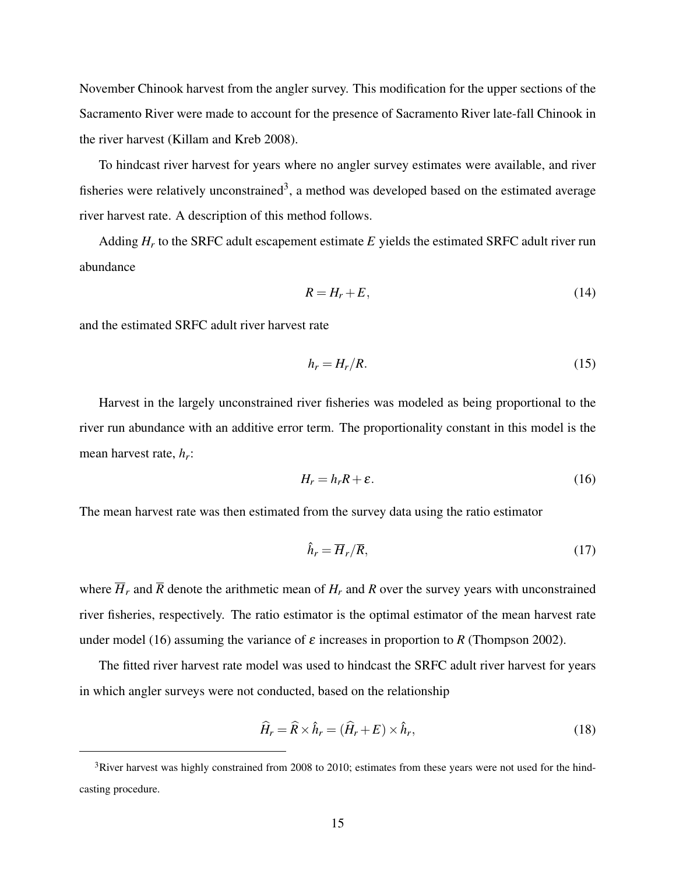November Chinook harvest from the angler survey. This modification for the upper sections of the Sacramento River were made to account for the presence of Sacramento River late-fall Chinook in the river harvest (Killam and Kreb 2008).

To hindcast river harvest for years where no angler survey estimates were available, and river fisheries were relatively unconstrained<sup>3</sup>, a method was developed based on the estimated average river harvest rate. A description of this method follows.

Adding *H<sup>r</sup>* to the SRFC adult escapement estimate *E* yields the estimated SRFC adult river run abundance

$$
R = H_r + E,\tag{14}
$$

and the estimated SRFC adult river harvest rate

$$
h_r = H_r/R. \tag{15}
$$

Harvest in the largely unconstrained river fisheries was modeled as being proportional to the river run abundance with an additive error term. The proportionality constant in this model is the mean harvest rate, *h<sup>r</sup>* :

$$
H_r = h_r R + \varepsilon. \tag{16}
$$

The mean harvest rate was then estimated from the survey data using the ratio estimator

$$
\hat{h}_r = \overline{H}_r / \overline{R},\tag{17}
$$

where  $\overline{H}_r$  and  $\overline{R}$  denote the arithmetic mean of  $H_r$  and  $R$  over the survey years with unconstrained river fisheries, respectively. The ratio estimator is the optimal estimator of the mean harvest rate under model (16) assuming the variance of  $\varepsilon$  increases in proportion to  $R$  (Thompson 2002).

The fitted river harvest rate model was used to hindcast the SRFC adult river harvest for years in which angler surveys were not conducted, based on the relationship

$$
\widehat{H}_r = \widehat{R} \times \widehat{h}_r = (\widehat{H}_r + E) \times \widehat{h}_r, \tag{18}
$$

<sup>&</sup>lt;sup>3</sup>River harvest was highly constrained from 2008 to 2010; estimates from these years were not used for the hindcasting procedure.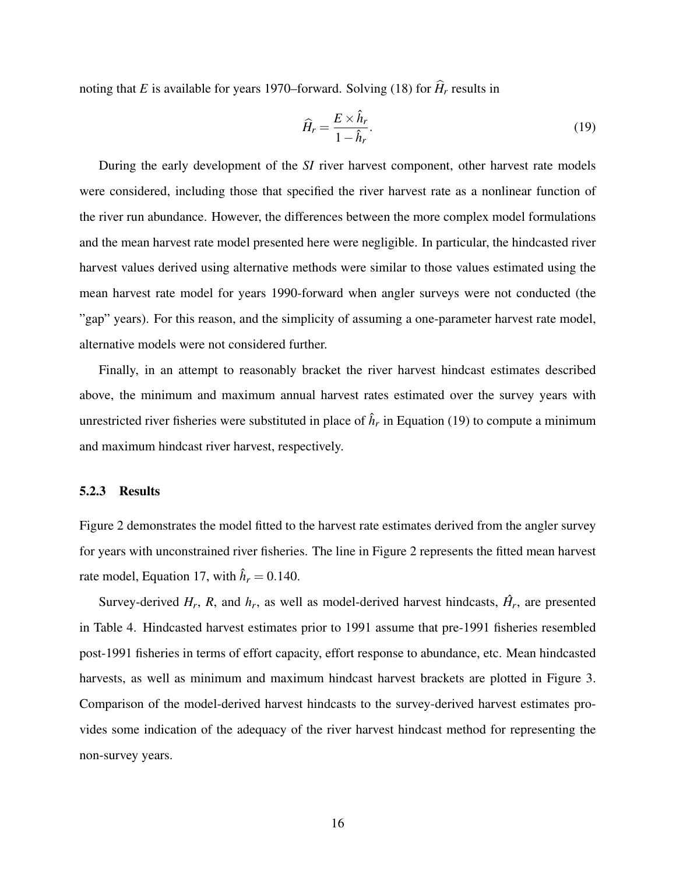noting that *E* is available for years 1970–forward. Solving (18) for  $\hat{H}_r$  results in

$$
\widehat{H}_r = \frac{E \times \widehat{h}_r}{1 - \widehat{h}_r}.\tag{19}
$$

During the early development of the *SI* river harvest component, other harvest rate models were considered, including those that specified the river harvest rate as a nonlinear function of the river run abundance. However, the differences between the more complex model formulations and the mean harvest rate model presented here were negligible. In particular, the hindcasted river harvest values derived using alternative methods were similar to those values estimated using the mean harvest rate model for years 1990-forward when angler surveys were not conducted (the "gap" years). For this reason, and the simplicity of assuming a one-parameter harvest rate model, alternative models were not considered further.

Finally, in an attempt to reasonably bracket the river harvest hindcast estimates described above, the minimum and maximum annual harvest rates estimated over the survey years with unrestricted river fisheries were substituted in place of  $\hat{h}_r$  in Equation (19) to compute a minimum and maximum hindcast river harvest, respectively.

#### 5.2.3 Results

Figure 2 demonstrates the model fitted to the harvest rate estimates derived from the angler survey for years with unconstrained river fisheries. The line in Figure 2 represents the fitted mean harvest rate model, Equation 17, with  $\hat{h}_r = 0.140$ .

Survey-derived  $H_r$ ,  $R$ , and  $h_r$ , as well as model-derived harvest hindcasts,  $\hat{H}_r$ , are presented in Table 4. Hindcasted harvest estimates prior to 1991 assume that pre-1991 fisheries resembled post-1991 fisheries in terms of effort capacity, effort response to abundance, etc. Mean hindcasted harvests, as well as minimum and maximum hindcast harvest brackets are plotted in Figure 3. Comparison of the model-derived harvest hindcasts to the survey-derived harvest estimates provides some indication of the adequacy of the river harvest hindcast method for representing the non-survey years.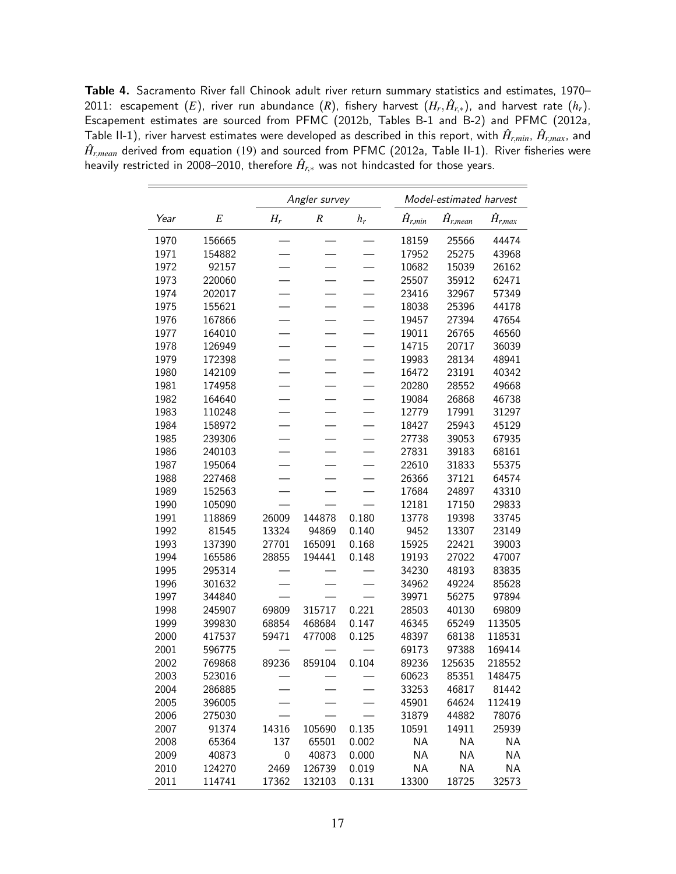Table 4. Sacramento River fall Chinook adult river return summary statistics and estimates, 1970–  $2011$ : escapement  $(E)$ , river run abundance  $(R)$ , fishery harvest  $(H_r,\hat{H}_{r,*})$ , and harvest rate  $(h_r).$ Escapement estimates are sourced from PFMC (2012b, Tables B-1 and B-2) and PFMC (2012a, Table II-1), river harvest estimates were developed as described in this report, with  $\hat{H}_{r,min}$ ,  $\hat{H}_{r,max}$ , and  $\hat{H}_{r,mean}$  derived from equation (19) and sourced from PFMC (2012a, Table II-1). River fisheries were heavily restricted in 2008–2010, therefore  $\hat{H}_{r,*}$  was not hindcasted for those years.

|      |          | Angler survey    |          |       |                   | Model-estimated harvest |                   |
|------|----------|------------------|----------|-------|-------------------|-------------------------|-------------------|
| Year | $\cal E$ | $H_r$            | $\cal R$ | $h_r$ | $\hat{H}_{r,min}$ | $\hat{H}_{r,mean}$      | $\hat{H}_{r,max}$ |
| 1970 | 156665   |                  |          |       | 18159             | 25566                   | 44474             |
| 1971 | 154882   |                  |          |       | 17952             | 25275                   | 43968             |
| 1972 | 92157    |                  |          |       | 10682             | 15039                   | 26162             |
| 1973 | 220060   |                  |          |       | 25507             | 35912                   | 62471             |
| 1974 | 202017   |                  |          |       | 23416             | 32967                   | 57349             |
| 1975 | 155621   |                  |          |       | 18038             | 25396                   | 44178             |
| 1976 | 167866   |                  |          |       | 19457             | 27394                   | 47654             |
| 1977 | 164010   |                  |          |       | 19011             | 26765                   | 46560             |
| 1978 | 126949   |                  |          |       | 14715             | 20717                   | 36039             |
| 1979 | 172398   |                  |          |       | 19983             | 28134                   | 48941             |
| 1980 | 142109   |                  |          |       | 16472             | 23191                   | 40342             |
| 1981 | 174958   |                  |          |       | 20280             | 28552                   | 49668             |
| 1982 | 164640   |                  |          |       | 19084             | 26868                   | 46738             |
| 1983 | 110248   |                  |          |       | 12779             | 17991                   | 31297             |
| 1984 | 158972   |                  |          |       | 18427             | 25943                   | 45129             |
| 1985 | 239306   |                  |          |       | 27738             | 39053                   | 67935             |
| 1986 | 240103   |                  |          |       | 27831             | 39183                   | 68161             |
| 1987 | 195064   |                  |          |       | 22610             | 31833                   | 55375             |
| 1988 | 227468   |                  |          |       | 26366             | 37121                   | 64574             |
| 1989 | 152563   |                  |          |       | 17684             | 24897                   | 43310             |
| 1990 | 105090   |                  |          |       | 12181             | 17150                   | 29833             |
| 1991 | 118869   | 26009            | 144878   | 0.180 | 13778             | 19398                   | 33745             |
| 1992 | 81545    | 13324            | 94869    | 0.140 | 9452              | 13307                   | 23149             |
| 1993 | 137390   | 27701            | 165091   | 0.168 | 15925             | 22421                   | 39003             |
| 1994 | 165586   | 28855            | 194441   | 0.148 | 19193             | 27022                   | 47007             |
| 1995 | 295314   |                  |          |       | 34230             | 48193                   | 83835             |
| 1996 | 301632   |                  |          |       | 34962             | 49224                   | 85628             |
| 1997 | 344840   |                  |          |       | 39971             | 56275                   | 97894             |
| 1998 | 245907   | 69809            | 315717   | 0.221 | 28503             | 40130                   | 69809             |
| 1999 | 399830   | 68854            | 468684   | 0.147 | 46345             | 65249                   | 113505            |
| 2000 | 417537   | 59471            | 477008   | 0.125 | 48397             | 68138                   | 118531            |
| 2001 | 596775   |                  |          |       | 69173             | 97388                   | 169414            |
| 2002 | 769868   | 89236            | 859104   | 0.104 | 89236             | 125635                  | 218552            |
| 2003 | 523016   |                  |          |       | 60623             | 85351                   | 148475            |
| 2004 | 286885   |                  |          |       | 33253             | 46817                   | 81442             |
| 2005 | 396005   |                  |          |       | 45901             | 64624                   | 112419            |
| 2006 | 275030   |                  |          |       | 31879             | 44882                   | 78076             |
| 2007 | 91374    | 14316            | 105690   | 0.135 | 10591             | 14911                   | 25939             |
| 2008 | 65364    | 137              | 65501    | 0.002 | <b>NA</b>         | <b>NA</b>               | <b>NA</b>         |
| 2009 | 40873    | $\boldsymbol{0}$ | 40873    | 0.000 | <b>NA</b>         | <b>NA</b>               | <b>NA</b>         |
| 2010 | 124270   | 2469             | 126739   | 0.019 | <b>NA</b>         | <b>NA</b>               | <b>NA</b>         |
| 2011 | 114741   | 17362            | 132103   | 0.131 | 13300             | 18725                   | 32573             |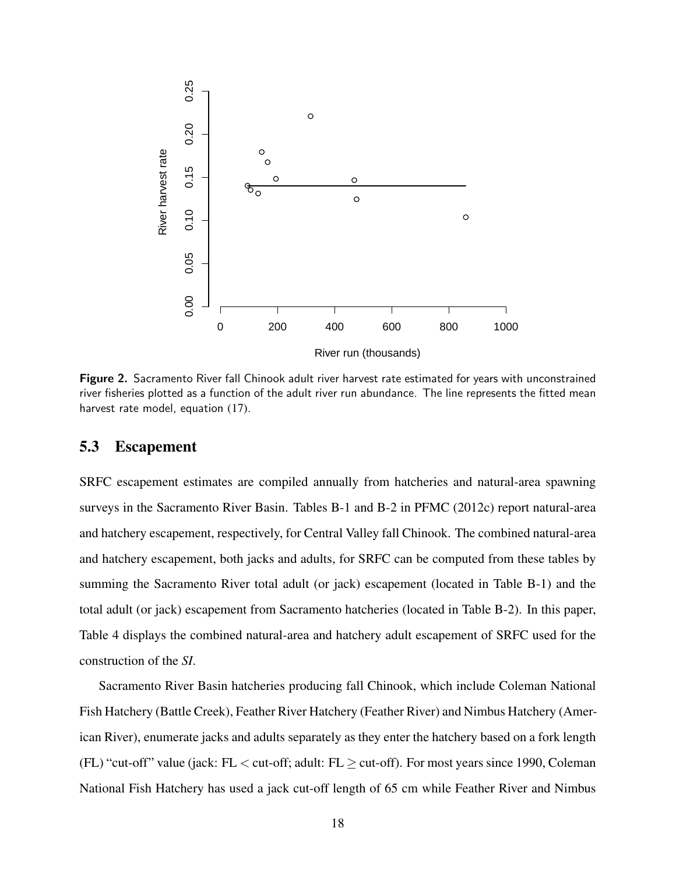

Figure 2. Sacramento River fall Chinook adult river harvest rate estimated for years with unconstrained river fisheries plotted as a function of the adult river run abundance. The line represents the fitted mean harvest rate model, equation (17).

#### 5.3 Escapement

SRFC escapement estimates are compiled annually from hatcheries and natural-area spawning surveys in the Sacramento River Basin. Tables B-1 and B-2 in PFMC (2012c) report natural-area and hatchery escapement, respectively, for Central Valley fall Chinook. The combined natural-area and hatchery escapement, both jacks and adults, for SRFC can be computed from these tables by summing the Sacramento River total adult (or jack) escapement (located in Table B-1) and the total adult (or jack) escapement from Sacramento hatcheries (located in Table B-2). In this paper, Table 4 displays the combined natural-area and hatchery adult escapement of SRFC used for the construction of the *SI*.

Sacramento River Basin hatcheries producing fall Chinook, which include Coleman National Fish Hatchery (Battle Creek), Feather River Hatchery (Feather River) and Nimbus Hatchery (American River), enumerate jacks and adults separately as they enter the hatchery based on a fork length (FL) "cut-off" value (jack: FL  $<$  cut-off; adult: FL  $\geq$  cut-off). For most years since 1990, Coleman National Fish Hatchery has used a jack cut-off length of 65 cm while Feather River and Nimbus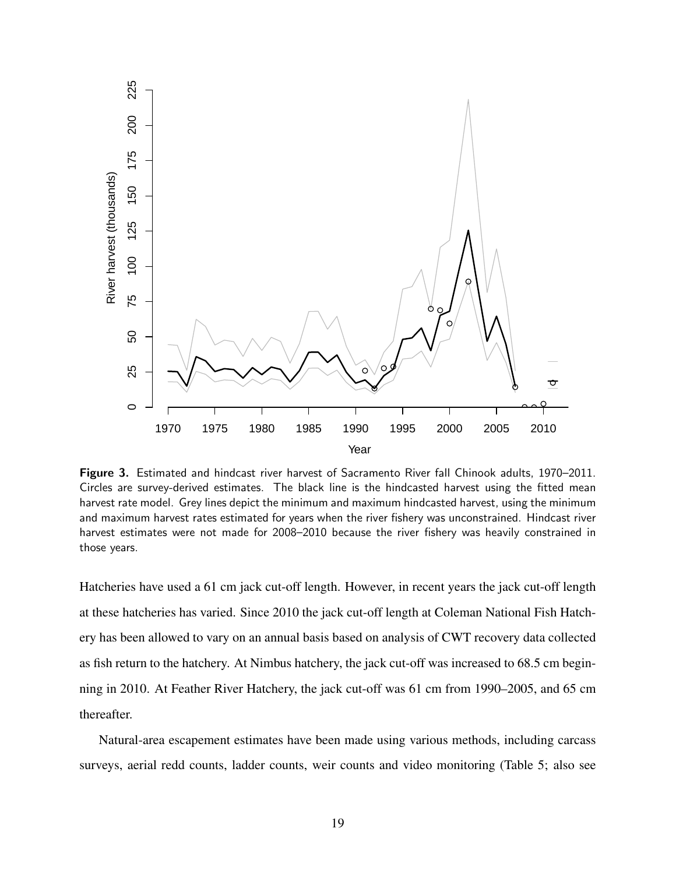

Figure 3. Estimated and hindcast river harvest of Sacramento River fall Chinook adults, 1970–2011. Circles are survey-derived estimates. The black line is the hindcasted harvest using the fitted mean harvest rate model. Grey lines depict the minimum and maximum hindcasted harvest, using the minimum and maximum harvest rates estimated for years when the river fishery was unconstrained. Hindcast river harvest estimates were not made for 2008–2010 because the river fishery was heavily constrained in those years.

Hatcheries have used a 61 cm jack cut-off length. However, in recent years the jack cut-off length at these hatcheries has varied. Since 2010 the jack cut-off length at Coleman National Fish Hatchery has been allowed to vary on an annual basis based on analysis of CWT recovery data collected as fish return to the hatchery. At Nimbus hatchery, the jack cut-off was increased to 68.5 cm beginning in 2010. At Feather River Hatchery, the jack cut-off was 61 cm from 1990–2005, and 65 cm thereafter.

Natural-area escapement estimates have been made using various methods, including carcass surveys, aerial redd counts, ladder counts, weir counts and video monitoring (Table 5; also see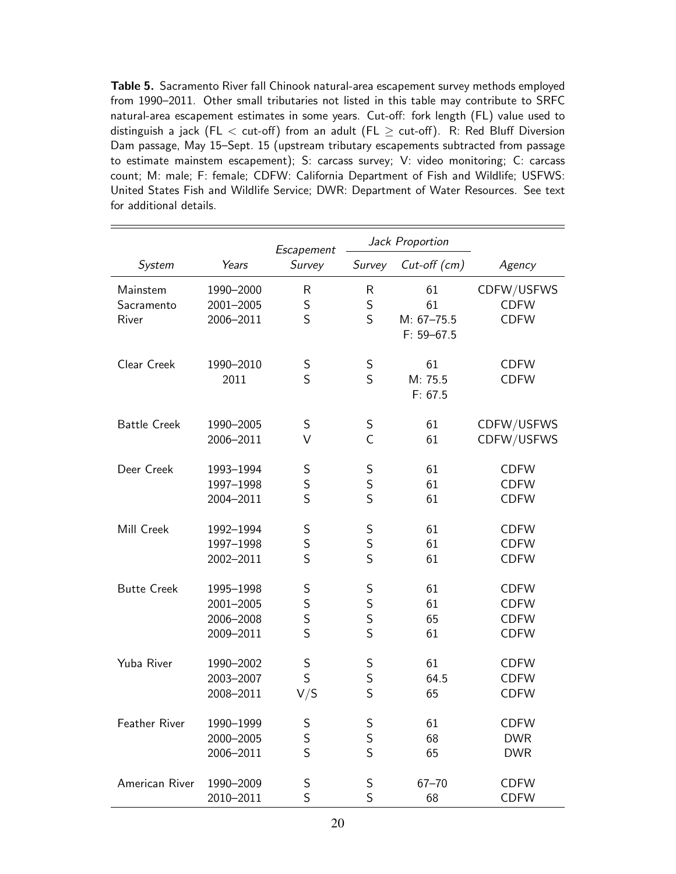Table 5. Sacramento River fall Chinook natural-area escapement survey methods employed from 1990–2011. Other small tributaries not listed in this table may contribute to SRFC natural-area escapement estimates in some years. Cut-off: fork length (FL) value used to distinguish a jack (FL  $<$  cut-off) from an adult (FL  $\geq$  cut-off). R: Red Bluff Diversion Dam passage, May 15–Sept. 15 (upstream tributary escapements subtracted from passage to estimate mainstem escapement); S: carcass survey; V: video monitoring; C: carcass count; M: male; F: female; CDFW: California Department of Fish and Wildlife; USFWS: United States Fish and Wildlife Service; DWR: Department of Water Resources. See text for additional details.

|                                 |                                                  | Escapement              | Jack Proportion  |                                              |                                                          |
|---------------------------------|--------------------------------------------------|-------------------------|------------------|----------------------------------------------|----------------------------------------------------------|
| System                          | Years                                            | Survey                  | Survey           | $Cut$ -off $(cm)$                            | Agency                                                   |
| Mainstem<br>Sacramento<br>River | 1990-2000<br>2001-2005<br>2006-2011              | R<br>S<br>S             | R<br>S<br>S      | 61<br>61<br>$M: 67 - 75.5$<br>$F: 59 - 67.5$ | CDFW/USFWS<br><b>CDFW</b><br><b>CDFW</b>                 |
| Clear Creek                     | 1990-2010<br>2011                                | S<br>S                  | S<br>S           | 61<br>M: 75.5<br>F: 67.5                     | <b>CDFW</b><br><b>CDFW</b>                               |
| <b>Battle Creek</b>             | 1990-2005<br>2006-2011                           | S<br>V                  | S<br>C           | 61<br>61                                     | CDFW/USFWS<br>CDFW/USFWS                                 |
| Deer Creek                      | 1993-1994<br>1997-1998<br>2004-2011              | S<br>S<br>S             | S<br>S<br>S      | 61<br>61<br>61                               | <b>CDFW</b><br><b>CDFW</b><br><b>CDFW</b>                |
| Mill Creek                      | 1992-1994<br>1997-1998<br>2002-2011              | S<br>S<br>S             | S<br>S<br>S      | 61<br>61<br>61                               | <b>CDFW</b><br><b>CDFW</b><br><b>CDFW</b>                |
| <b>Butte Creek</b>              | 1995-1998<br>2001-2005<br>2006-2008<br>2009-2011 | S<br>S<br>S<br>S        | S<br>S<br>S<br>S | 61<br>61<br>65<br>61                         | <b>CDFW</b><br><b>CDFW</b><br><b>CDFW</b><br><b>CDFW</b> |
| Yuba River                      | 1990-2002<br>2003-2007<br>2008-2011              | S<br>$\mathsf S$<br>V/S | S<br>S<br>S      | 61<br>64.5<br>65                             | <b>CDFW</b><br><b>CDFW</b><br><b>CDFW</b>                |
| Feather River                   | 1990-1999<br>2000-2005<br>2006-2011              | S<br>S<br>S             | S<br>S<br>S      | 61<br>68<br>65                               | <b>CDFW</b><br><b>DWR</b><br><b>DWR</b>                  |
| American River                  | 1990-2009<br>2010-2011                           | $\sf S$<br>S            | S<br>S           | $67 - 70$<br>68                              | <b>CDFW</b><br><b>CDFW</b>                               |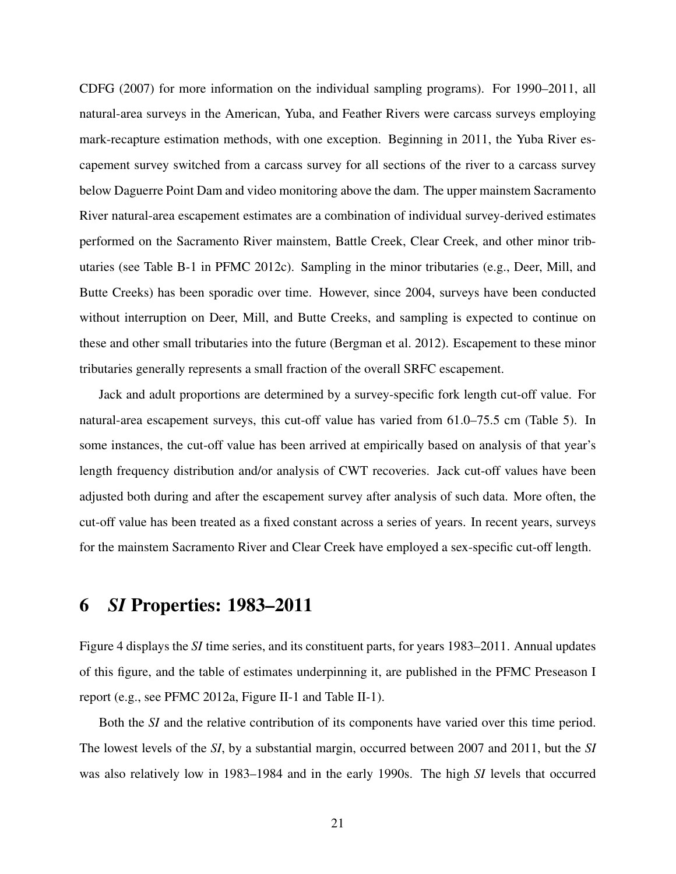CDFG (2007) for more information on the individual sampling programs). For 1990–2011, all natural-area surveys in the American, Yuba, and Feather Rivers were carcass surveys employing mark-recapture estimation methods, with one exception. Beginning in 2011, the Yuba River escapement survey switched from a carcass survey for all sections of the river to a carcass survey below Daguerre Point Dam and video monitoring above the dam. The upper mainstem Sacramento River natural-area escapement estimates are a combination of individual survey-derived estimates performed on the Sacramento River mainstem, Battle Creek, Clear Creek, and other minor tributaries (see Table B-1 in PFMC 2012c). Sampling in the minor tributaries (e.g., Deer, Mill, and Butte Creeks) has been sporadic over time. However, since 2004, surveys have been conducted without interruption on Deer, Mill, and Butte Creeks, and sampling is expected to continue on these and other small tributaries into the future (Bergman et al. 2012). Escapement to these minor tributaries generally represents a small fraction of the overall SRFC escapement.

Jack and adult proportions are determined by a survey-specific fork length cut-off value. For natural-area escapement surveys, this cut-off value has varied from 61.0–75.5 cm (Table 5). In some instances, the cut-off value has been arrived at empirically based on analysis of that year's length frequency distribution and/or analysis of CWT recoveries. Jack cut-off values have been adjusted both during and after the escapement survey after analysis of such data. More often, the cut-off value has been treated as a fixed constant across a series of years. In recent years, surveys for the mainstem Sacramento River and Clear Creek have employed a sex-specific cut-off length.

# 6 *SI* Properties: 1983–2011

Figure 4 displays the *SI* time series, and its constituent parts, for years 1983–2011. Annual updates of this figure, and the table of estimates underpinning it, are published in the PFMC Preseason I report (e.g., see PFMC 2012a, Figure II-1 and Table II-1).

Both the *SI* and the relative contribution of its components have varied over this time period. The lowest levels of the *SI*, by a substantial margin, occurred between 2007 and 2011, but the *SI* was also relatively low in 1983–1984 and in the early 1990s. The high *SI* levels that occurred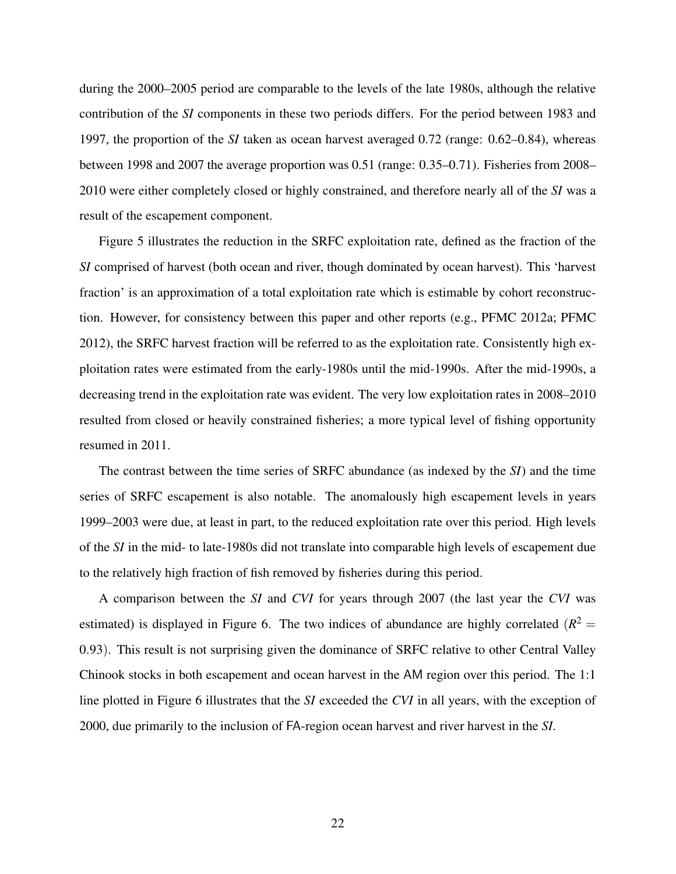during the 2000–2005 period are comparable to the levels of the late 1980s, although the relative contribution of the *SI* components in these two periods differs. For the period between 1983 and 1997, the proportion of the *SI* taken as ocean harvest averaged 0.72 (range: 0.62–0.84), whereas between 1998 and 2007 the average proportion was 0.51 (range: 0.35–0.71). Fisheries from 2008– 2010 were either completely closed or highly constrained, and therefore nearly all of the *SI* was a result of the escapement component.

Figure 5 illustrates the reduction in the SRFC exploitation rate, defined as the fraction of the *SI* comprised of harvest (both ocean and river, though dominated by ocean harvest). This 'harvest fraction' is an approximation of a total exploitation rate which is estimable by cohort reconstruction. However, for consistency between this paper and other reports (e.g., PFMC 2012a; PFMC 2012), the SRFC harvest fraction will be referred to as the exploitation rate. Consistently high exploitation rates were estimated from the early-1980s until the mid-1990s. After the mid-1990s, a decreasing trend in the exploitation rate was evident. The very low exploitation rates in 2008–2010 resulted from closed or heavily constrained fisheries; a more typical level of fishing opportunity resumed in 2011.

The contrast between the time series of SRFC abundance (as indexed by the *SI*) and the time series of SRFC escapement is also notable. The anomalously high escapement levels in years 1999–2003 were due, at least in part, to the reduced exploitation rate over this period. High levels of the *SI* in the mid- to late-1980s did not translate into comparable high levels of escapement due to the relatively high fraction of fish removed by fisheries during this period.

A comparison between the *SI* and *CVI* for years through 2007 (the last year the *CVI* was estimated) is displayed in Figure 6. The two indices of abundance are highly correlated  $(R^2 =$ 0.93). This result is not surprising given the dominance of SRFC relative to other Central Valley Chinook stocks in both escapement and ocean harvest in the AM region over this period. The 1:1 line plotted in Figure 6 illustrates that the *SI* exceeded the *CVI* in all years, with the exception of 2000, due primarily to the inclusion of FA-region ocean harvest and river harvest in the *SI*.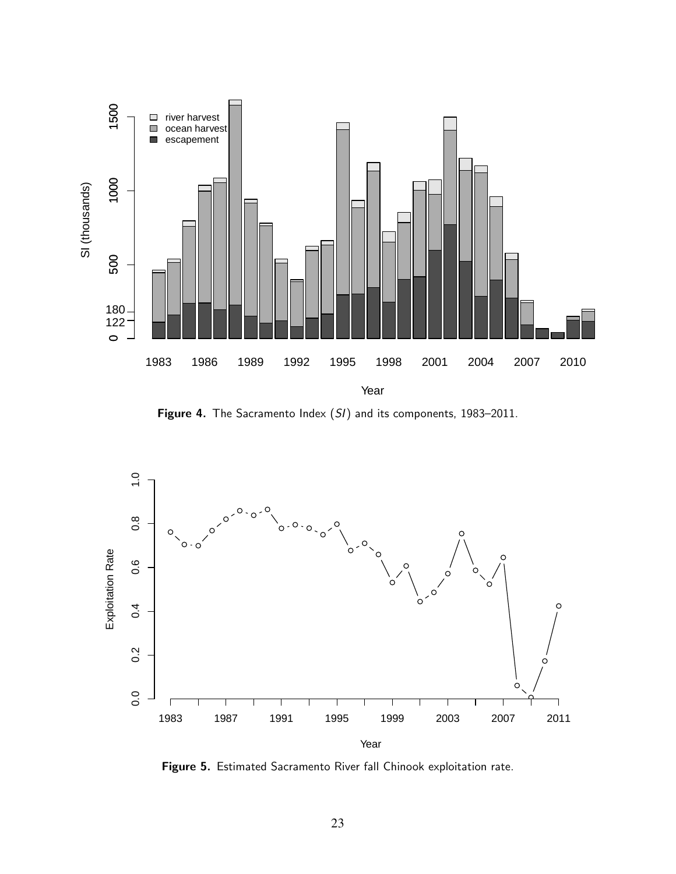

Figure 4. The Sacramento Index (SI) and its components, 1983-2011.



Figure 5. Estimated Sacramento River fall Chinook exploitation rate.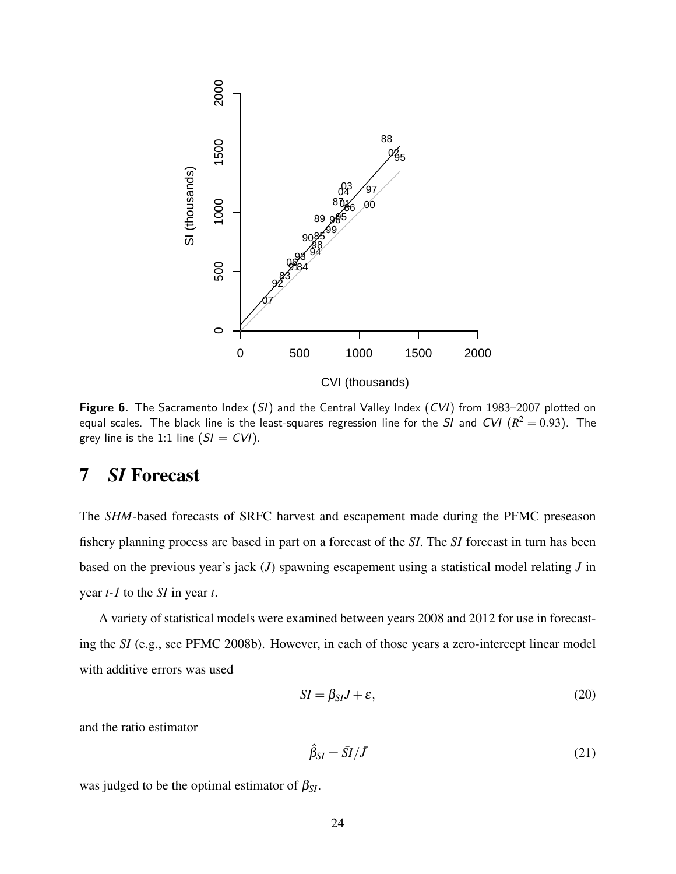

Figure 6. The Sacramento Index (SI) and the Central Valley Index (CVI) from 1983-2007 plotted on equal scales. The black line is the least-squares regression line for the  $SI$  and  $CVI$   $(R^2=0.93).$  The grey line is the 1:1 line  $(SI = CVI)$ .

# 7 *SI* Forecast

The *SHM*-based forecasts of SRFC harvest and escapement made during the PFMC preseason fishery planning process are based in part on a forecast of the *SI*. The *SI* forecast in turn has been based on the previous year's jack (*J*) spawning escapement using a statistical model relating *J* in year *t-1* to the *SI* in year *t*.

A variety of statistical models were examined between years 2008 and 2012 for use in forecasting the *SI* (e.g., see PFMC 2008b). However, in each of those years a zero-intercept linear model with additive errors was used

$$
SI = \beta_{SI}J + \varepsilon,\tag{20}
$$

and the ratio estimator

$$
\hat{\beta}_{SI} = \bar{SI}/\bar{J} \tag{21}
$$

was judged to be the optimal estimator of  $\beta_{SI}$ .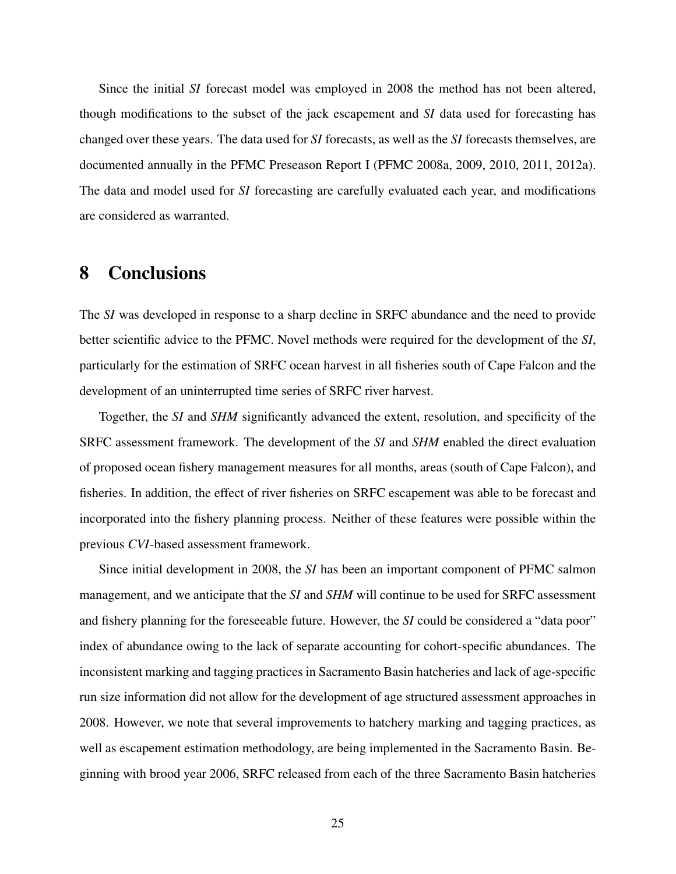Since the initial *SI* forecast model was employed in 2008 the method has not been altered, though modifications to the subset of the jack escapement and *SI* data used for forecasting has changed over these years. The data used for *SI* forecasts, as well as the *SI* forecasts themselves, are documented annually in the PFMC Preseason Report I (PFMC 2008a, 2009, 2010, 2011, 2012a). The data and model used for *SI* forecasting are carefully evaluated each year, and modifications are considered as warranted.

### 8 Conclusions

The *SI* was developed in response to a sharp decline in SRFC abundance and the need to provide better scientific advice to the PFMC. Novel methods were required for the development of the *SI*, particularly for the estimation of SRFC ocean harvest in all fisheries south of Cape Falcon and the development of an uninterrupted time series of SRFC river harvest.

Together, the *SI* and *SHM* significantly advanced the extent, resolution, and specificity of the SRFC assessment framework. The development of the *SI* and *SHM* enabled the direct evaluation of proposed ocean fishery management measures for all months, areas (south of Cape Falcon), and fisheries. In addition, the effect of river fisheries on SRFC escapement was able to be forecast and incorporated into the fishery planning process. Neither of these features were possible within the previous *CVI*-based assessment framework.

Since initial development in 2008, the *SI* has been an important component of PFMC salmon management, and we anticipate that the *SI* and *SHM* will continue to be used for SRFC assessment and fishery planning for the foreseeable future. However, the *SI* could be considered a "data poor" index of abundance owing to the lack of separate accounting for cohort-specific abundances. The inconsistent marking and tagging practices in Sacramento Basin hatcheries and lack of age-specific run size information did not allow for the development of age structured assessment approaches in 2008. However, we note that several improvements to hatchery marking and tagging practices, as well as escapement estimation methodology, are being implemented in the Sacramento Basin. Beginning with brood year 2006, SRFC released from each of the three Sacramento Basin hatcheries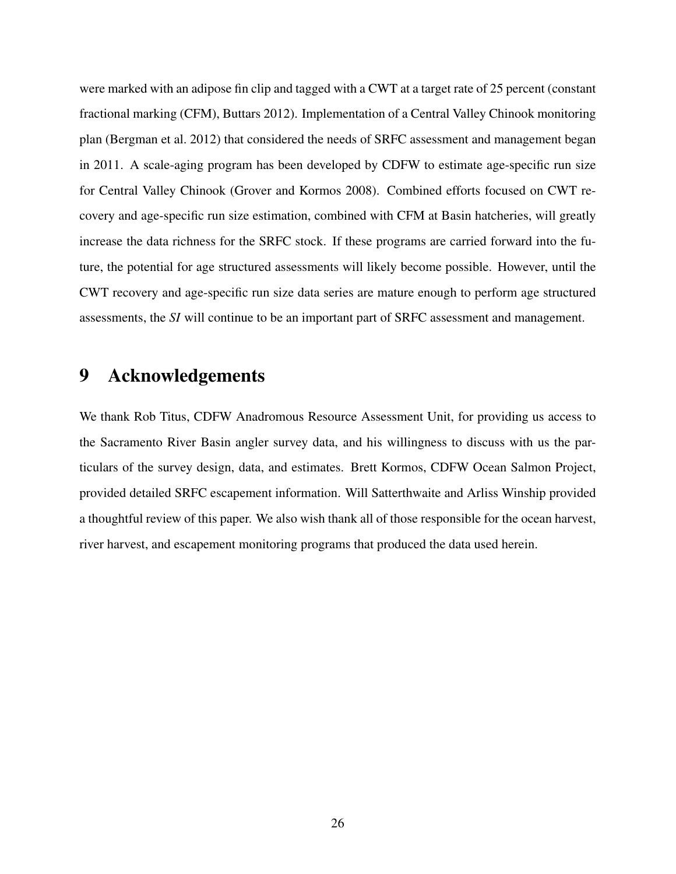were marked with an adipose fin clip and tagged with a CWT at a target rate of 25 percent (constant fractional marking (CFM), Buttars 2012). Implementation of a Central Valley Chinook monitoring plan (Bergman et al. 2012) that considered the needs of SRFC assessment and management began in 2011. A scale-aging program has been developed by CDFW to estimate age-specific run size for Central Valley Chinook (Grover and Kormos 2008). Combined efforts focused on CWT recovery and age-specific run size estimation, combined with CFM at Basin hatcheries, will greatly increase the data richness for the SRFC stock. If these programs are carried forward into the future, the potential for age structured assessments will likely become possible. However, until the CWT recovery and age-specific run size data series are mature enough to perform age structured assessments, the *SI* will continue to be an important part of SRFC assessment and management.

### 9 Acknowledgements

We thank Rob Titus, CDFW Anadromous Resource Assessment Unit, for providing us access to the Sacramento River Basin angler survey data, and his willingness to discuss with us the particulars of the survey design, data, and estimates. Brett Kormos, CDFW Ocean Salmon Project, provided detailed SRFC escapement information. Will Satterthwaite and Arliss Winship provided a thoughtful review of this paper. We also wish thank all of those responsible for the ocean harvest, river harvest, and escapement monitoring programs that produced the data used herein.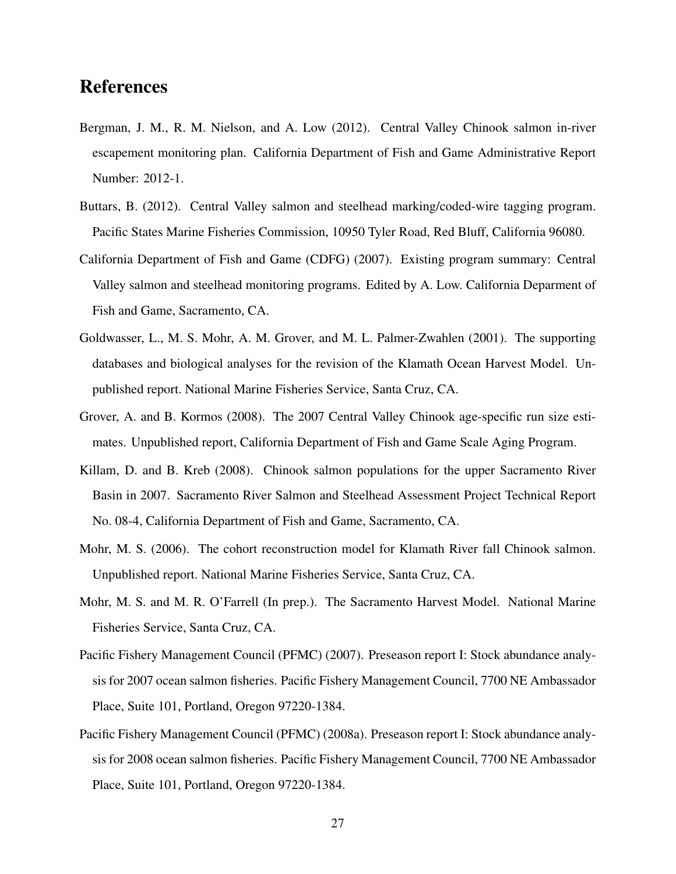## References

- Bergman, J. M., R. M. Nielson, and A. Low (2012). Central Valley Chinook salmon in-river escapement monitoring plan. California Department of Fish and Game Administrative Report Number: 2012-1.
- Buttars, B. (2012). Central Valley salmon and steelhead marking/coded-wire tagging program. Pacific States Marine Fisheries Commission, 10950 Tyler Road, Red Bluff, California 96080.
- California Department of Fish and Game (CDFG) (2007). Existing program summary: Central Valley salmon and steelhead monitoring programs. Edited by A. Low. California Deparment of Fish and Game, Sacramento, CA.
- Goldwasser, L., M. S. Mohr, A. M. Grover, and M. L. Palmer-Zwahlen (2001). The supporting databases and biological analyses for the revision of the Klamath Ocean Harvest Model. Unpublished report. National Marine Fisheries Service, Santa Cruz, CA.
- Grover, A. and B. Kormos (2008). The 2007 Central Valley Chinook age-specific run size estimates. Unpublished report, California Department of Fish and Game Scale Aging Program.
- Killam, D. and B. Kreb (2008). Chinook salmon populations for the upper Sacramento River Basin in 2007. Sacramento River Salmon and Steelhead Assessment Project Technical Report No. 08-4, California Department of Fish and Game, Sacramento, CA.
- Mohr, M. S. (2006). The cohort reconstruction model for Klamath River fall Chinook salmon. Unpublished report. National Marine Fisheries Service, Santa Cruz, CA.
- Mohr, M. S. and M. R. O'Farrell (In prep.). The Sacramento Harvest Model. National Marine Fisheries Service, Santa Cruz, CA.
- Pacific Fishery Management Council (PFMC) (2007). Preseason report I: Stock abundance analysis for 2007 ocean salmon fisheries. Pacific Fishery Management Council, 7700 NE Ambassador Place, Suite 101, Portland, Oregon 97220-1384.
- Pacific Fishery Management Council (PFMC) (2008a). Preseason report I: Stock abundance analysis for 2008 ocean salmon fisheries. Pacific Fishery Management Council, 7700 NE Ambassador Place, Suite 101, Portland, Oregon 97220-1384.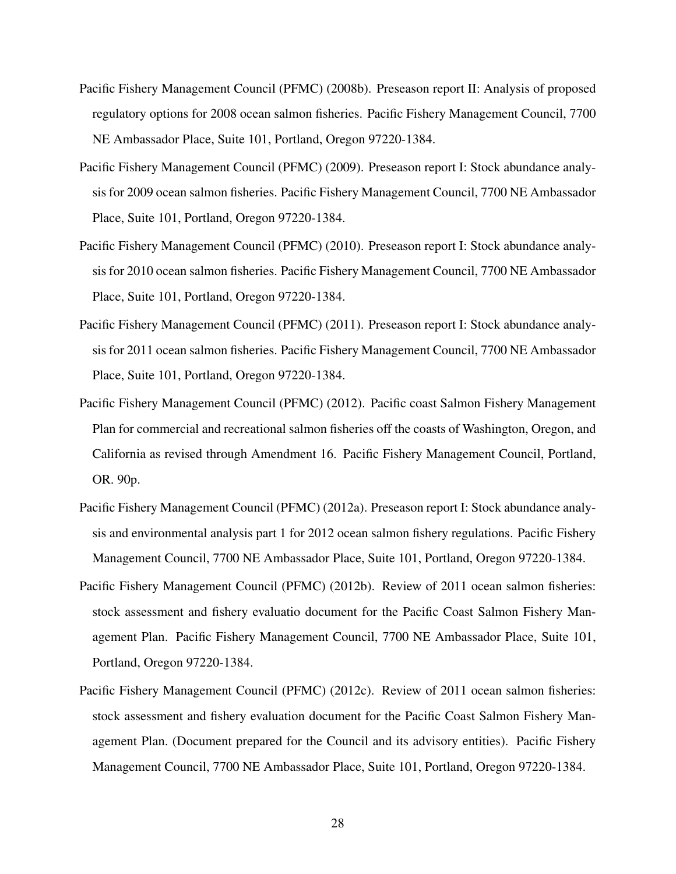- Pacific Fishery Management Council (PFMC) (2008b). Preseason report II: Analysis of proposed regulatory options for 2008 ocean salmon fisheries. Pacific Fishery Management Council, 7700 NE Ambassador Place, Suite 101, Portland, Oregon 97220-1384.
- Pacific Fishery Management Council (PFMC) (2009). Preseason report I: Stock abundance analysis for 2009 ocean salmon fisheries. Pacific Fishery Management Council, 7700 NE Ambassador Place, Suite 101, Portland, Oregon 97220-1384.
- Pacific Fishery Management Council (PFMC) (2010). Preseason report I: Stock abundance analysis for 2010 ocean salmon fisheries. Pacific Fishery Management Council, 7700 NE Ambassador Place, Suite 101, Portland, Oregon 97220-1384.
- Pacific Fishery Management Council (PFMC) (2011). Preseason report I: Stock abundance analysis for 2011 ocean salmon fisheries. Pacific Fishery Management Council, 7700 NE Ambassador Place, Suite 101, Portland, Oregon 97220-1384.
- Pacific Fishery Management Council (PFMC) (2012). Pacific coast Salmon Fishery Management Plan for commercial and recreational salmon fisheries off the coasts of Washington, Oregon, and California as revised through Amendment 16. Pacific Fishery Management Council, Portland, OR. 90p.
- Pacific Fishery Management Council (PFMC) (2012a). Preseason report I: Stock abundance analysis and environmental analysis part 1 for 2012 ocean salmon fishery regulations. Pacific Fishery Management Council, 7700 NE Ambassador Place, Suite 101, Portland, Oregon 97220-1384.
- Pacific Fishery Management Council (PFMC) (2012b). Review of 2011 ocean salmon fisheries: stock assessment and fishery evaluatio document for the Pacific Coast Salmon Fishery Management Plan. Pacific Fishery Management Council, 7700 NE Ambassador Place, Suite 101, Portland, Oregon 97220-1384.
- Pacific Fishery Management Council (PFMC) (2012c). Review of 2011 ocean salmon fisheries: stock assessment and fishery evaluation document for the Pacific Coast Salmon Fishery Management Plan. (Document prepared for the Council and its advisory entities). Pacific Fishery Management Council, 7700 NE Ambassador Place, Suite 101, Portland, Oregon 97220-1384.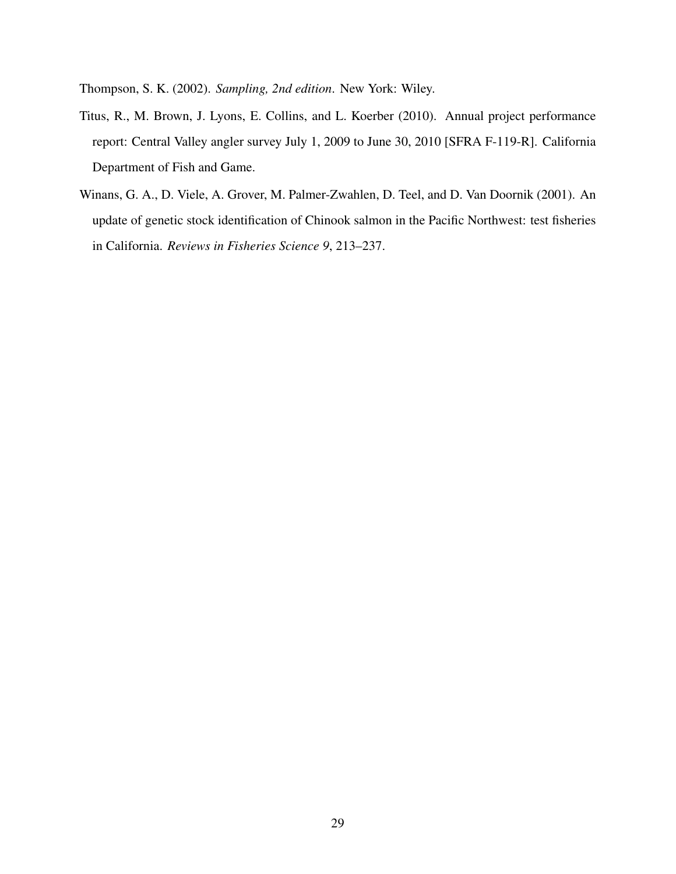Thompson, S. K. (2002). *Sampling, 2nd edition*. New York: Wiley.

- Titus, R., M. Brown, J. Lyons, E. Collins, and L. Koerber (2010). Annual project performance report: Central Valley angler survey July 1, 2009 to June 30, 2010 [SFRA F-119-R]. California Department of Fish and Game.
- Winans, G. A., D. Viele, A. Grover, M. Palmer-Zwahlen, D. Teel, and D. Van Doornik (2001). An update of genetic stock identification of Chinook salmon in the Pacific Northwest: test fisheries in California. *Reviews in Fisheries Science 9*, 213–237.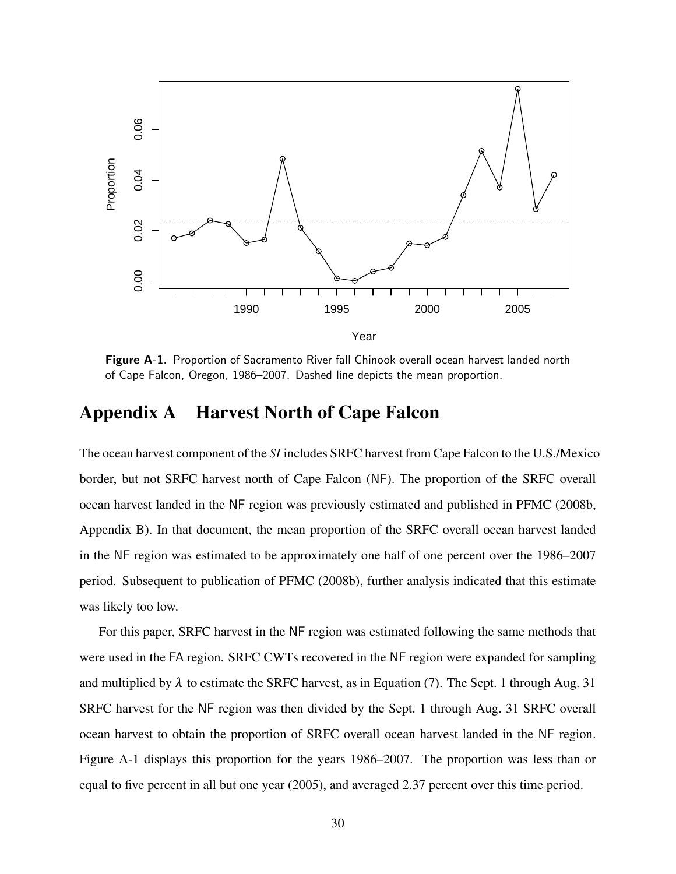

Figure A-1. Proportion of Sacramento River fall Chinook overall ocean harvest landed north of Cape Falcon, Oregon, 1986–2007. Dashed line depicts the mean proportion.

### Appendix A Harvest North of Cape Falcon

The ocean harvest component of the *SI* includes SRFC harvest from Cape Falcon to the U.S./Mexico border, but not SRFC harvest north of Cape Falcon (NF). The proportion of the SRFC overall ocean harvest landed in the NF region was previously estimated and published in PFMC (2008b, Appendix B). In that document, the mean proportion of the SRFC overall ocean harvest landed in the NF region was estimated to be approximately one half of one percent over the 1986–2007 period. Subsequent to publication of PFMC (2008b), further analysis indicated that this estimate was likely too low.

For this paper, SRFC harvest in the NF region was estimated following the same methods that were used in the FA region. SRFC CWTs recovered in the NF region were expanded for sampling and multiplied by  $\lambda$  to estimate the SRFC harvest, as in Equation (7). The Sept. 1 through Aug. 31 SRFC harvest for the NF region was then divided by the Sept. 1 through Aug. 31 SRFC overall ocean harvest to obtain the proportion of SRFC overall ocean harvest landed in the NF region. Figure A-1 displays this proportion for the years 1986–2007. The proportion was less than or equal to five percent in all but one year (2005), and averaged 2.37 percent over this time period.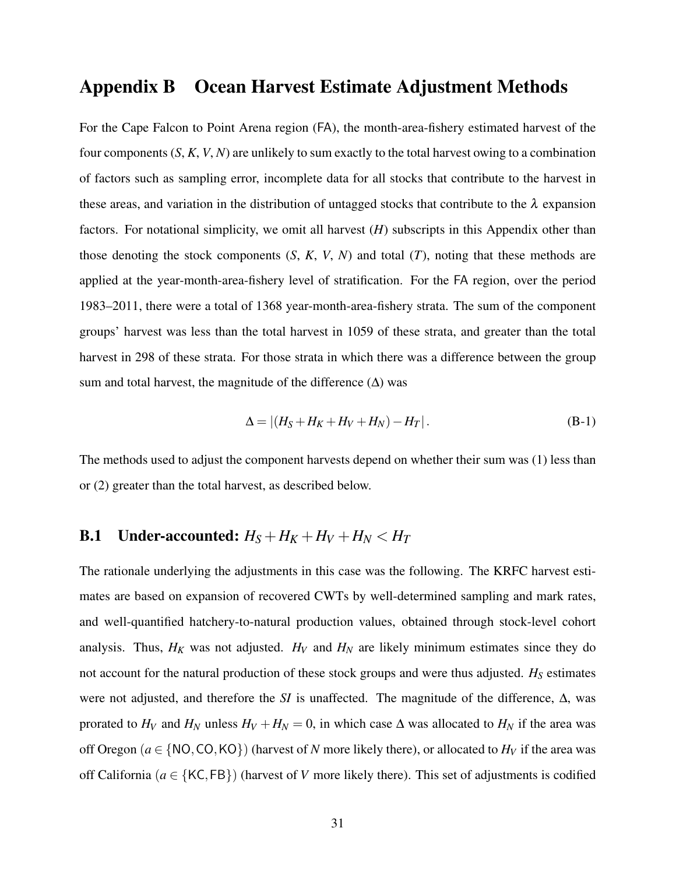### Appendix B Ocean Harvest Estimate Adjustment Methods

For the Cape Falcon to Point Arena region (FA), the month-area-fishery estimated harvest of the four components (*S*, *K*, *V*, *N*) are unlikely to sum exactly to the total harvest owing to a combination of factors such as sampling error, incomplete data for all stocks that contribute to the harvest in these areas, and variation in the distribution of untagged stocks that contribute to the  $\lambda$  expansion factors. For notational simplicity, we omit all harvest (*H*) subscripts in this Appendix other than those denoting the stock components  $(S, K, V, N)$  and total  $(T)$ , noting that these methods are applied at the year-month-area-fishery level of stratification. For the FA region, over the period 1983–2011, there were a total of 1368 year-month-area-fishery strata. The sum of the component groups' harvest was less than the total harvest in 1059 of these strata, and greater than the total harvest in 298 of these strata. For those strata in which there was a difference between the group sum and total harvest, the magnitude of the difference  $(\Delta)$  was

$$
\Delta = |(H_S + H_K + H_V + H_N) - H_T|.
$$
 (B-1)

The methods used to adjust the component harvests depend on whether their sum was (1) less than or (2) greater than the total harvest, as described below.

# **B.1** Under-accounted:  $H_S + H_K + H_V + H_N < H_T$

The rationale underlying the adjustments in this case was the following. The KRFC harvest estimates are based on expansion of recovered CWTs by well-determined sampling and mark rates, and well-quantified hatchery-to-natural production values, obtained through stock-level cohort analysis. Thus,  $H_K$  was not adjusted.  $H_V$  and  $H_N$  are likely minimum estimates since they do not account for the natural production of these stock groups and were thus adjusted. *H<sup>S</sup>* estimates were not adjusted, and therefore the *SI* is unaffected. The magnitude of the difference, ∆, was prorated to  $H_V$  and  $H_N$  unless  $H_V + H_N = 0$ , in which case  $\Delta$  was allocated to  $H_N$  if the area was off Oregon ( $a \in \{NO, CO, KO\}$ ) (harvest of *N* more likely there), or allocated to  $H_V$  if the area was off California ( $a \in \{KC, FB\}$ ) (harvest of *V* more likely there). This set of adjustments is codified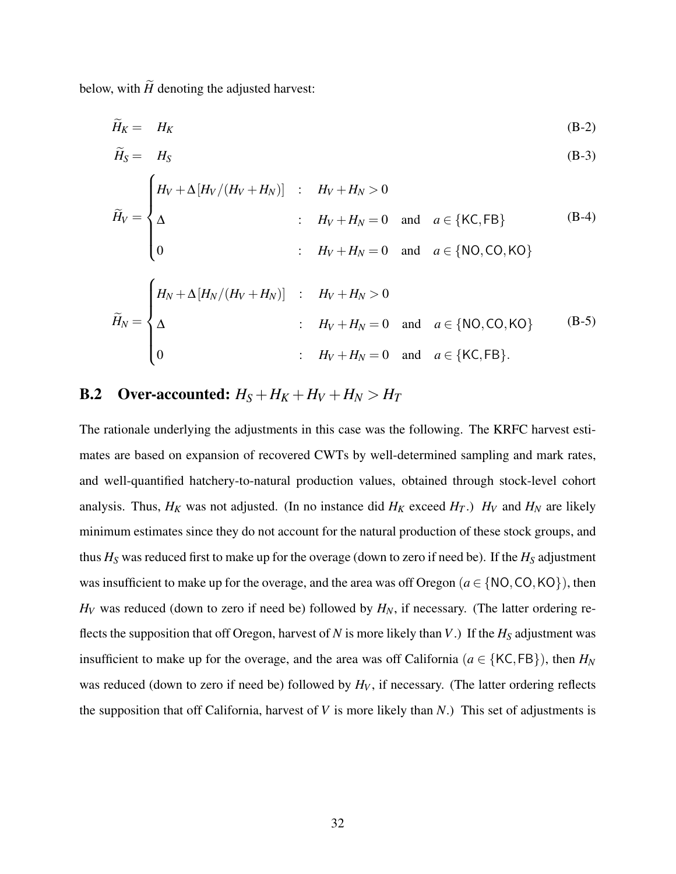below, with  $\widetilde{H}$  denoting the adjusted harvest:

$$
\widetilde{H}_K = H_K \tag{B-2}
$$

$$
\widetilde{H}_{S} = H_{S} \tag{B-3}
$$

$$
\widetilde{H}_V = \begin{cases}\nH_V + \Delta [H_V/(H_V + H_N)] & : H_V + H_N > 0 \\
\Delta & : H_V + H_N = 0 \text{ and } a \in \{ \text{KC, FB} \} \\
0 & : H_V + H_N = 0 \text{ and } a \in \{ \text{NO, CO, KO} \}\n\end{cases}
$$
\n(B-4)

$$
\widetilde{H}_N = \begin{cases}\nH_N + \Delta [H_N/(H_V + H_N)] & : \quad H_V + H_N > 0 \\
\Delta & : \quad H_V + H_N = 0 \quad \text{and} \quad a \in \{NO, CO, KO\} \\
0 & : \quad H_V + H_N = 0 \quad \text{and} \quad a \in \{KC, FB\}.\n\end{cases}
$$
\n(B-5)

### **B.2** Over-accounted:  $H_S + H_K + H_V + H_N > H_T$

The rationale underlying the adjustments in this case was the following. The KRFC harvest estimates are based on expansion of recovered CWTs by well-determined sampling and mark rates, and well-quantified hatchery-to-natural production values, obtained through stock-level cohort analysis. Thus,  $H_K$  was not adjusted. (In no instance did  $H_K$  exceed  $H_T$ .)  $H_V$  and  $H_N$  are likely minimum estimates since they do not account for the natural production of these stock groups, and thus *H<sup>S</sup>* was reduced first to make up for the overage (down to zero if need be). If the *H<sup>S</sup>* adjustment was insufficient to make up for the overage, and the area was off Oregon ( $a \in \{NO, CO, KO\}$ ), then  $H_V$  was reduced (down to zero if need be) followed by  $H_N$ , if necessary. (The latter ordering reflects the supposition that off Oregon, harvest of *N* is more likely than *V*.) If the  $H_S$  adjustment was insufficient to make up for the overage, and the area was off California ( $a \in \{KC, FB\}$ ), then  $H_N$ was reduced (down to zero if need be) followed by  $H_V$ , if necessary. (The latter ordering reflects the supposition that off California, harvest of *V* is more likely than *N*.) This set of adjustments is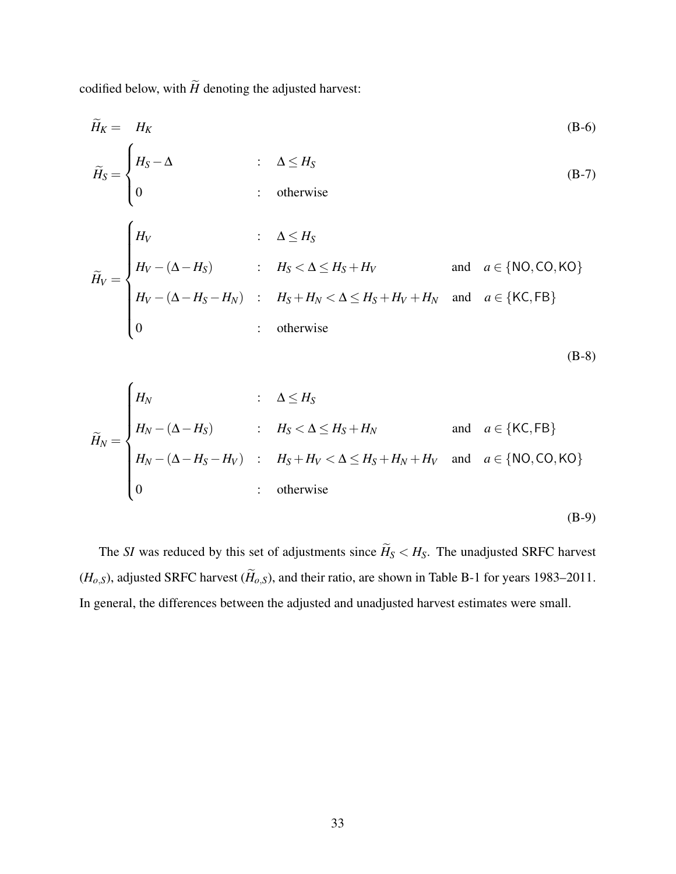codified below, with  $\widetilde{H}$  denoting the adjusted harvest:

$$
\widetilde{H}_{K} = H_{K} \qquad (B-6)
$$
\n
$$
\widetilde{H}_{S} = \begin{cases}\nH_{S} - \Delta & \text{: } \Delta \leq H_{S} \\
0 & \text{: } \text{otherwise}\n\end{cases} \qquad (B-7)
$$
\n
$$
\widetilde{H}_{V} = \begin{cases}\nH_{V} & \text{: } \Delta \leq H_{S} \\
H_{V} - (\Delta - H_{S}) & \text{: } H_{S} < \Delta \leq H_{S} + H_{V} \\
H_{V} - (\Delta - H_{S} - H_{N}) & \text{: } H_{S} + H_{N} < \Delta \leq H_{S} + H_{V} + H_{N} \text{ and } a \in \{KC, FB\} \\
0 & \text{: } \text{otherwise}\n\end{cases}
$$
\n(B-6)

$$
\widetilde{H}_N = \begin{cases}\nH_N & \text{if } \Delta \le H_S \\
H_N - (\Delta - H_S) & \text{if } H_S < \Delta \le H_S + H_N \\
H_N - (\Delta - H_S - H_V) & \text{if } H_S + H_V < \Delta \le H_S + H_N + H_V \text{ and } a \in \{NO, CO, KO\} \\
0 & \text{if } \Delta = 0\n\end{cases}
$$

(B-9)

(B-8)

The *SI* was reduced by this set of adjustments since  $\widetilde{H}_S < H_S$ . The unadjusted SRFC harvest  $(H_{o,s})$ , adjusted SRFC harvest  $(\widetilde{H}_{o,s})$ , and their ratio, are shown in Table B-1 for years 1983–2011. In general, the differences between the adjusted and unadjusted harvest estimates were small.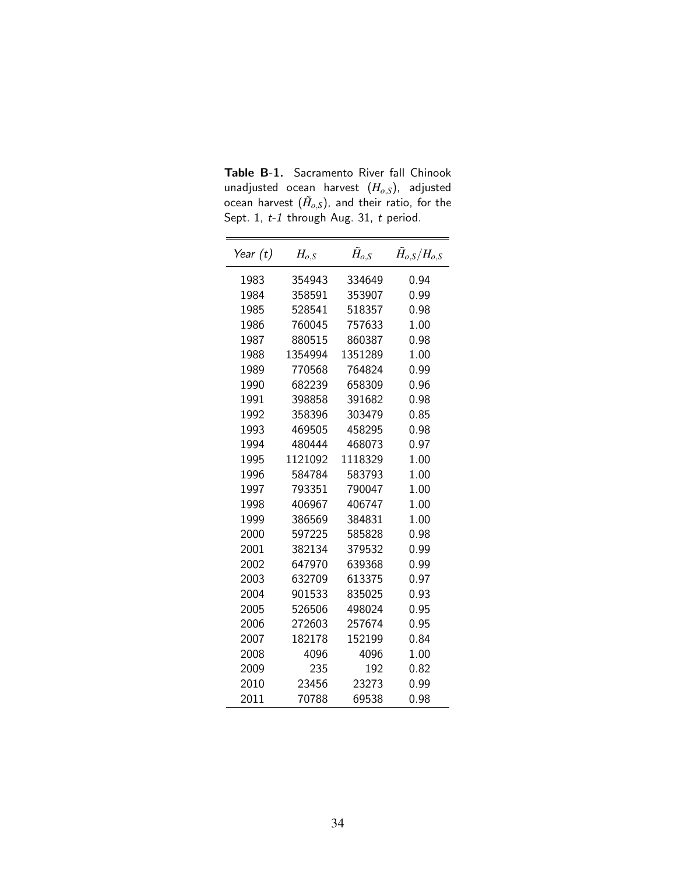Table B-1. Sacramento River fall Chinook unadjusted ocean harvest (*Ho*,*S*), adjusted ocean harvest  $(\tilde{H}_{o, S})$ , and their ratio, for the Sept. 1, t-1 through Aug. 31, t period.

| Year (t) | $H_{o,S}$ | $\tilde{H}_{o,S}$ | $\tilde{H}_{o.S}/H_{o.S}$ |
|----------|-----------|-------------------|---------------------------|
| 1983     | 354943    | 334649            | 0.94                      |
| 1984     | 358591    | 353907            | 0.99                      |
| 1985     | 528541    | 518357            | 0.98                      |
| 1986     | 760045    | 757633            | 1.00                      |
| 1987     | 880515    | 860387            | 0.98                      |
| 1988     | 1354994   | 1351289           | 1.00                      |
| 1989     | 770568    | 764824            | 0.99                      |
| 1990     | 682239    | 658309            | 0.96                      |
| 1991     | 398858    | 391682            | 0.98                      |
| 1992     | 358396    | 303479            | 0.85                      |
| 1993     | 469505    | 458295            | 0.98                      |
| 1994     | 480444    | 468073            | 0.97                      |
| 1995     | 1121092   | 1118329           | 1.00                      |
| 1996     | 584784    | 583793            | 1.00                      |
| 1997     | 793351    | 790047            | 1.00                      |
| 1998     | 406967    | 406747            | 1.00                      |
| 1999     | 386569    | 384831            | 1.00                      |
| 2000     | 597225    | 585828            | 0.98                      |
| 2001     | 382134    | 379532            | 0.99                      |
| 2002     | 647970    | 639368            | 0.99                      |
| 2003     | 632709    | 613375            | 0.97                      |
| 2004     | 901533    | 835025            | 0.93                      |
| 2005     | 526506    | 498024            | 0.95                      |
| 2006     | 272603    | 257674            | 0.95                      |
| 2007     | 182178    | 152199            | 0.84                      |
| 2008     | 4096      | 4096              | 1.00                      |
| 2009     | 235       | 192               | 0.82                      |
| 2010     | 23456     | 23273             | 0.99                      |
| 2011     | 70788     | 69538             | 0.98                      |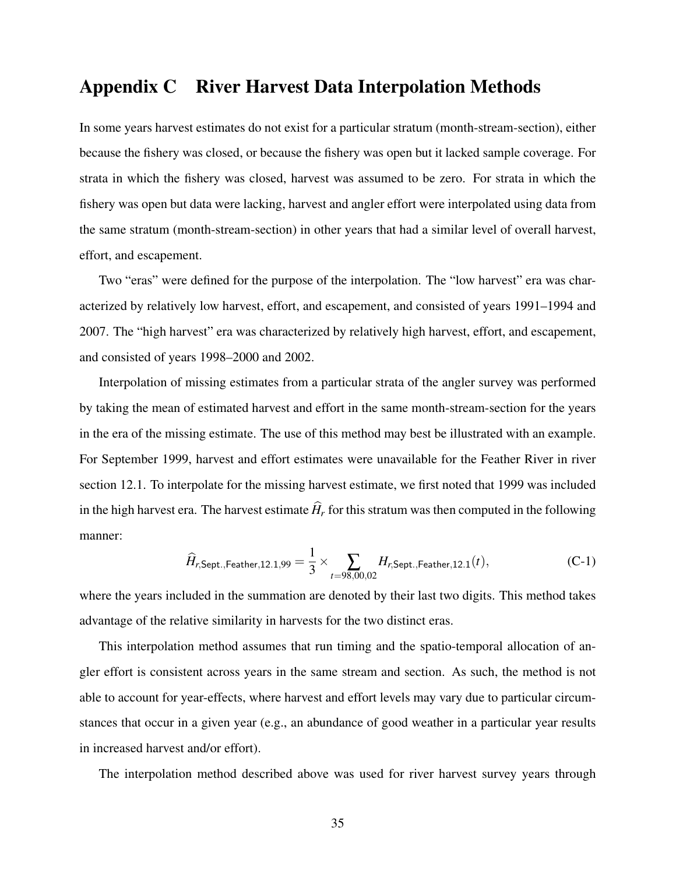## Appendix C River Harvest Data Interpolation Methods

In some years harvest estimates do not exist for a particular stratum (month-stream-section), either because the fishery was closed, or because the fishery was open but it lacked sample coverage. For strata in which the fishery was closed, harvest was assumed to be zero. For strata in which the fishery was open but data were lacking, harvest and angler effort were interpolated using data from the same stratum (month-stream-section) in other years that had a similar level of overall harvest, effort, and escapement.

Two "eras" were defined for the purpose of the interpolation. The "low harvest" era was characterized by relatively low harvest, effort, and escapement, and consisted of years 1991–1994 and 2007. The "high harvest" era was characterized by relatively high harvest, effort, and escapement, and consisted of years 1998–2000 and 2002.

Interpolation of missing estimates from a particular strata of the angler survey was performed by taking the mean of estimated harvest and effort in the same month-stream-section for the years in the era of the missing estimate. The use of this method may best be illustrated with an example. For September 1999, harvest and effort estimates were unavailable for the Feather River in river section 12.1. To interpolate for the missing harvest estimate, we first noted that 1999 was included in the high harvest era. The harvest estimate  $\hat{H}_r$  for this stratum was then computed in the following manner:

$$
\widehat{H}_{r, \text{Sept.}, \text{Feather}, 12.1, 99} = \frac{1}{3} \times \sum_{t = 98,00,02} H_{r, \text{Sept.}, \text{Feather}, 12.1}(t), \tag{C-1}
$$

where the years included in the summation are denoted by their last two digits. This method takes advantage of the relative similarity in harvests for the two distinct eras.

This interpolation method assumes that run timing and the spatio-temporal allocation of angler effort is consistent across years in the same stream and section. As such, the method is not able to account for year-effects, where harvest and effort levels may vary due to particular circumstances that occur in a given year (e.g., an abundance of good weather in a particular year results in increased harvest and/or effort).

The interpolation method described above was used for river harvest survey years through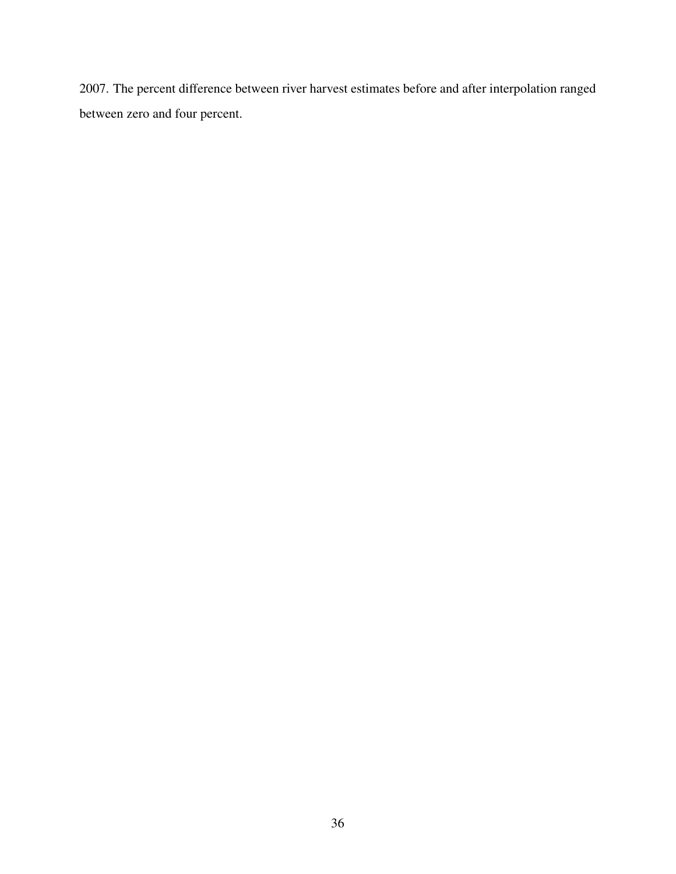2007. The percent difference between river harvest estimates before and after interpolation ranged between zero and four percent.